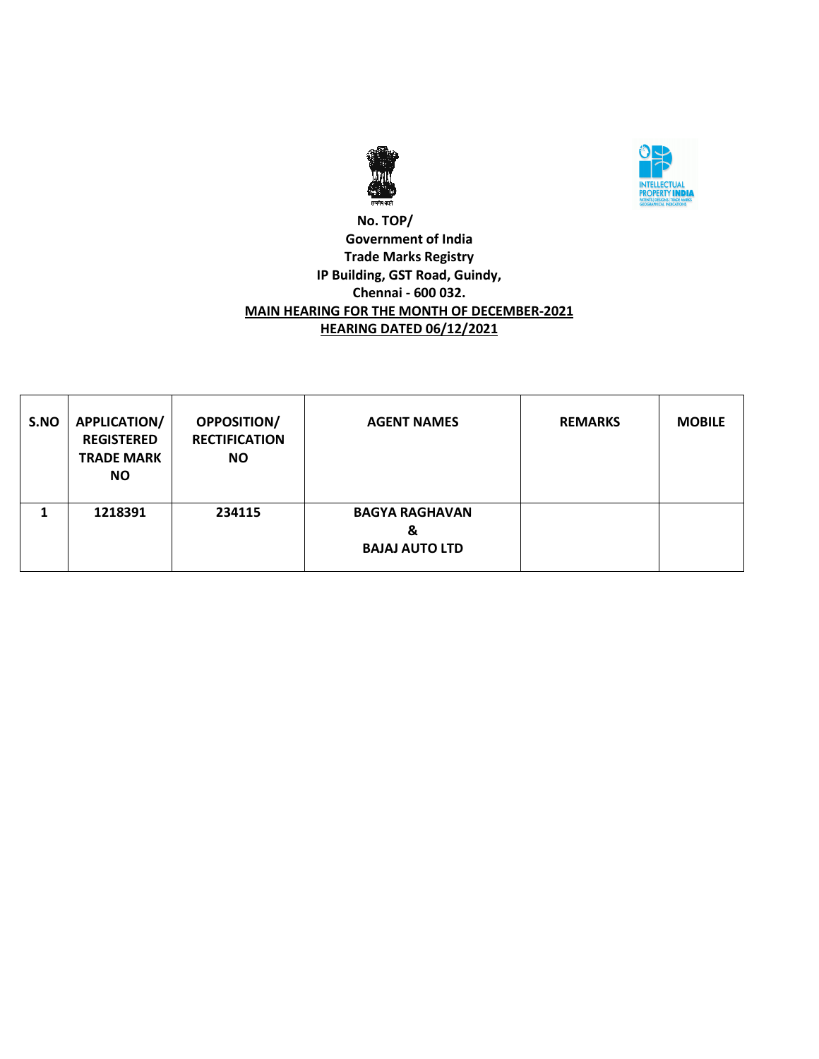



### **No. TOP/ Government of India Trade Marks Registry IP Building, GST Road, Guindy, Chennai - 600 032. MAIN HEARING FOR THE MONTH OF DECEMBER-2021 HEARING DATED 06/12/2021**

| S.NO | APPLICATION/<br><b>REGISTERED</b><br><b>TRADE MARK</b><br><b>NO</b> | <b>OPPOSITION/</b><br><b>RECTIFICATION</b><br><b>NO</b> | <b>AGENT NAMES</b>                                  | <b>REMARKS</b> | <b>MOBILE</b> |
|------|---------------------------------------------------------------------|---------------------------------------------------------|-----------------------------------------------------|----------------|---------------|
|      | 1218391                                                             | 234115                                                  | <b>BAGYA RAGHAVAN</b><br>&<br><b>BAJAJ AUTO LTD</b> |                |               |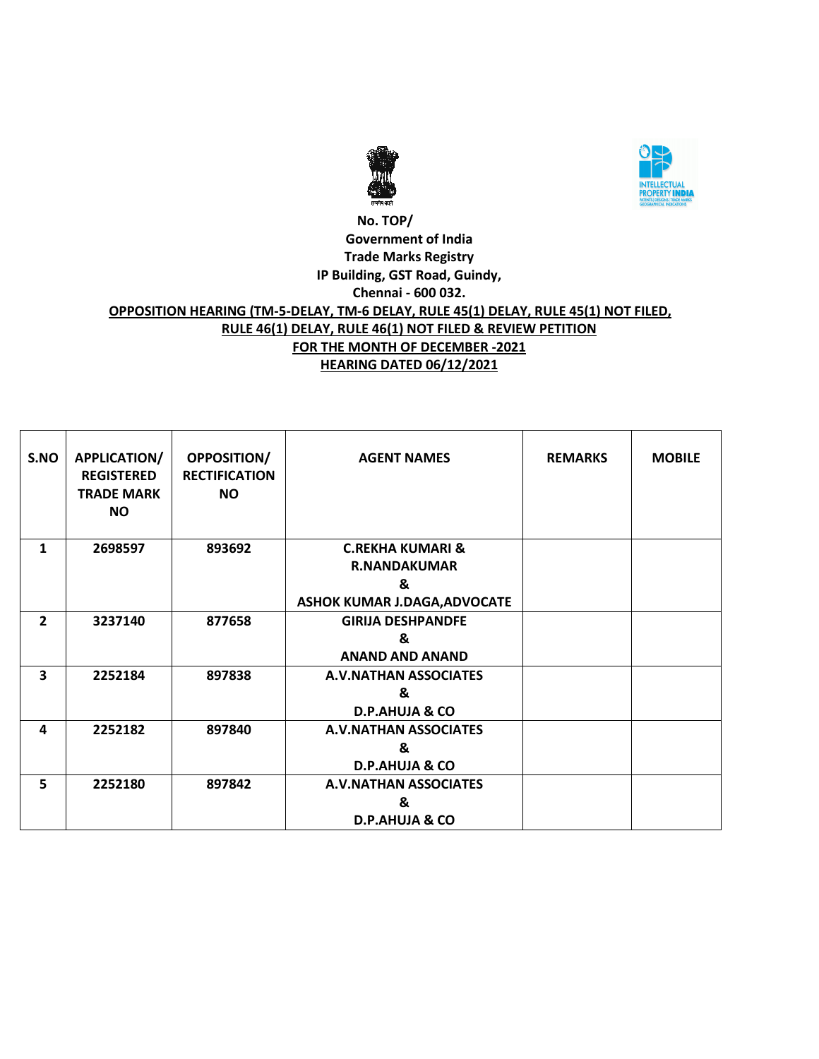



### **No. TOP/ Government of India Trade Marks Registry IP Building, GST Road, Guindy, Chennai - 600 032. OPPOSITION HEARING (TM-5-DELAY, TM-6 DELAY, RULE 45(1) DELAY, RULE 45(1) NOT FILED, RULE 46(1) DELAY, RULE 46(1) NOT FILED & REVIEW PETITION FOR THE MONTH OF DECEMBER -2021 HEARING DATED 06/12/2021**

| S.NO           | APPLICATION/<br><b>REGISTERED</b><br><b>TRADE MARK</b><br><b>NO</b> | <b>OPPOSITION/</b><br><b>RECTIFICATION</b><br><b>NO</b> | <b>AGENT NAMES</b>                                                                      | <b>REMARKS</b> | <b>MOBILE</b> |
|----------------|---------------------------------------------------------------------|---------------------------------------------------------|-----------------------------------------------------------------------------------------|----------------|---------------|
| 1              | 2698597                                                             | 893692                                                  | <b>C.REKHA KUMARI &amp;</b><br><b>R.NANDAKUMAR</b><br>&<br>ASHOK KUMAR J.DAGA, ADVOCATE |                |               |
| $\overline{2}$ | 3237140                                                             | 877658                                                  | <b>GIRIJA DESHPANDFE</b><br>&<br><b>ANAND AND ANAND</b>                                 |                |               |
| 3              | 2252184                                                             | 897838                                                  | <b>A.V.NATHAN ASSOCIATES</b><br>&<br><b>D.P.AHUJA &amp; CO</b>                          |                |               |
| 4              | 2252182                                                             | 897840                                                  | <b>A.V.NATHAN ASSOCIATES</b><br>&<br><b>D.P.AHUJA &amp; CO</b>                          |                |               |
| 5              | 2252180                                                             | 897842                                                  | <b>A.V.NATHAN ASSOCIATES</b><br>&<br><b>D.P.AHUJA &amp; CO</b>                          |                |               |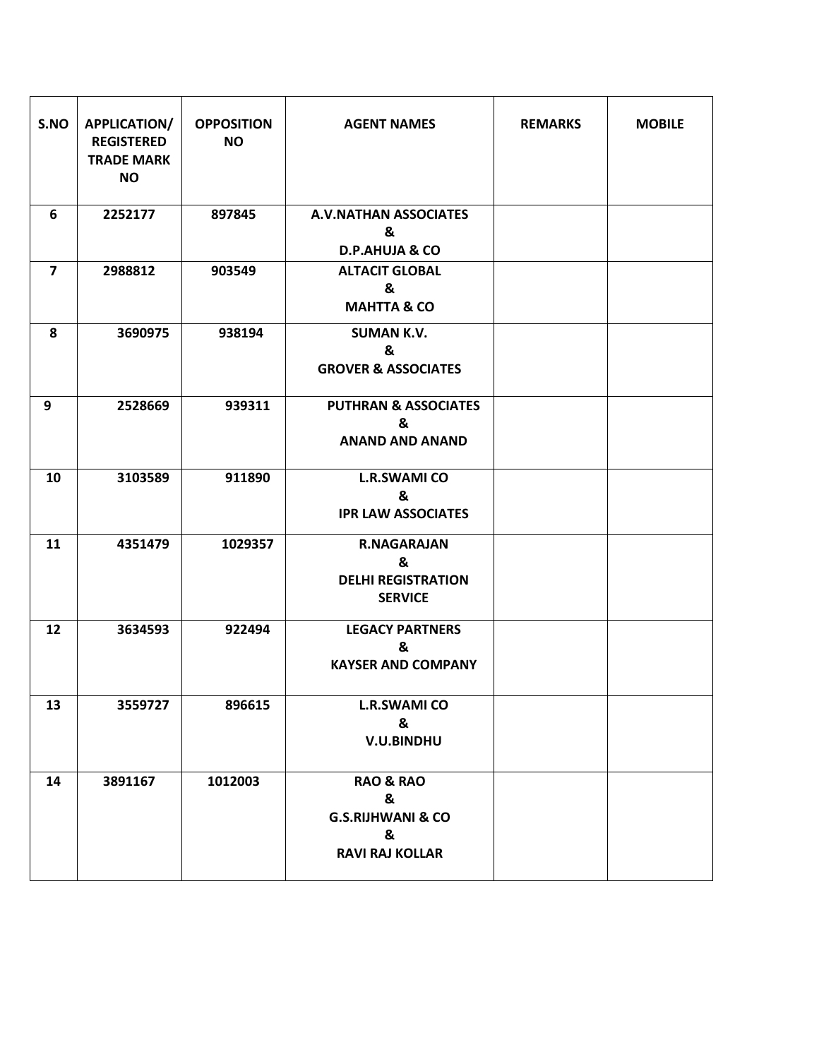| S.NO           | <b>APPLICATION/</b><br><b>REGISTERED</b><br><b>TRADE MARK</b><br><b>NO</b> | <b>OPPOSITION</b><br><b>NO</b> | <b>AGENT NAMES</b>                                                                       | <b>REMARKS</b> | <b>MOBILE</b> |
|----------------|----------------------------------------------------------------------------|--------------------------------|------------------------------------------------------------------------------------------|----------------|---------------|
| 6              | 2252177                                                                    | 897845                         | <b>A.V.NATHAN ASSOCIATES</b><br>&<br><b>D.P.AHUJA &amp; CO</b>                           |                |               |
| $\overline{7}$ | 2988812                                                                    | 903549                         | <b>ALTACIT GLOBAL</b><br>&<br><b>MAHTTA &amp; CO</b>                                     |                |               |
| 8              | 3690975                                                                    | 938194                         | <b>SUMAN K.V.</b><br>&<br><b>GROVER &amp; ASSOCIATES</b>                                 |                |               |
| 9              | 2528669                                                                    | 939311                         | <b>PUTHRAN &amp; ASSOCIATES</b><br>&<br><b>ANAND AND ANAND</b>                           |                |               |
| 10             | 3103589                                                                    | 911890                         | <b>L.R.SWAMI CO</b><br>&<br><b>IPR LAW ASSOCIATES</b>                                    |                |               |
| 11             | 4351479                                                                    | 1029357                        | <b>R.NAGARAJAN</b><br>&<br><b>DELHI REGISTRATION</b><br><b>SERVICE</b>                   |                |               |
| 12             | 3634593                                                                    | 922494                         | <b>LEGACY PARTNERS</b><br>&<br><b>KAYSER AND COMPANY</b>                                 |                |               |
| 13             | 3559727                                                                    | 896615                         | <b>L.R.SWAMI CO</b><br>&<br>V.U.BINDHU                                                   |                |               |
| 14             | 3891167                                                                    | 1012003                        | <b>RAO &amp; RAO</b><br>&<br><b>G.S.RIJHWANI &amp; CO</b><br>&<br><b>RAVI RAJ KOLLAR</b> |                |               |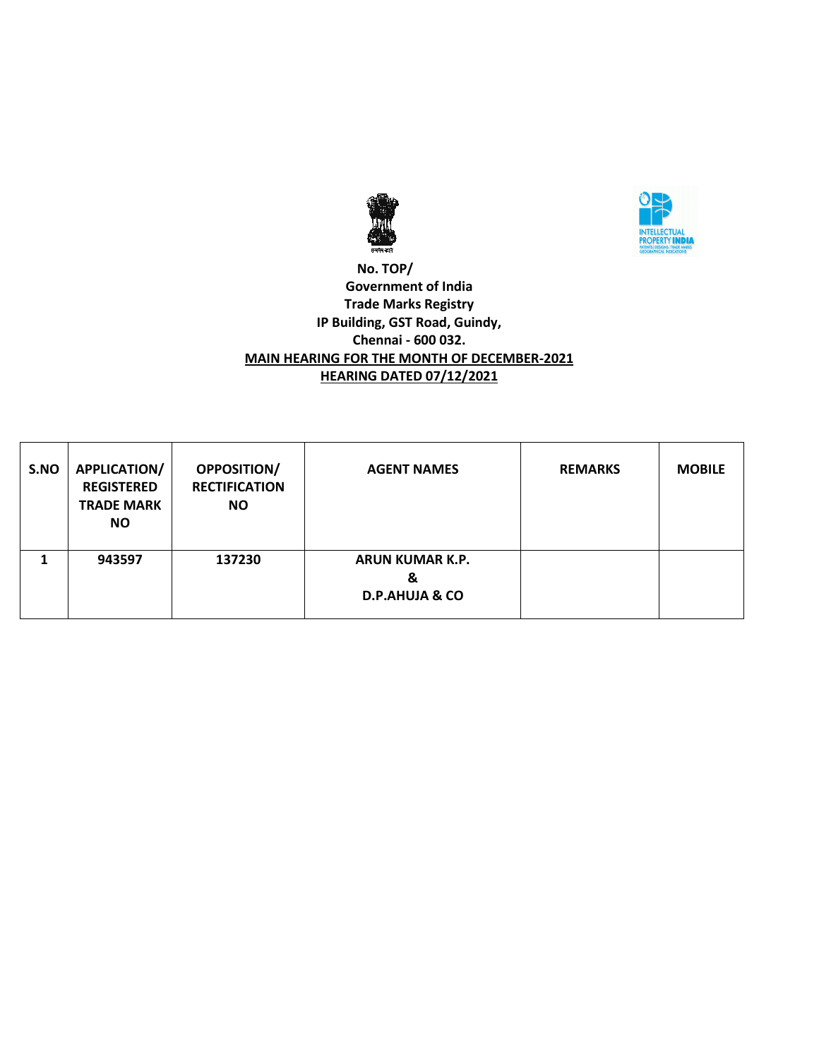



### **No. TOP/ Government of India Trade Marks Registry IP Building, GST Road, Guindy, Chennai - 600 032. MAIN HEARING FOR THE MONTH OF DECEMBER-2021 HEARING DATED 07/12/2021**

| S.NO | <b>APPLICATION/</b><br><b>REGISTERED</b><br><b>TRADE MARK</b><br><b>NO</b> | <b>OPPOSITION/</b><br><b>RECTIFICATION</b><br><b>NO</b> | <b>AGENT NAMES</b>                                       | <b>REMARKS</b> | <b>MOBILE</b> |
|------|----------------------------------------------------------------------------|---------------------------------------------------------|----------------------------------------------------------|----------------|---------------|
|      | 943597                                                                     | 137230                                                  | <b>ARUN KUMAR K.P.</b><br>&<br><b>D.P.AHUJA &amp; CO</b> |                |               |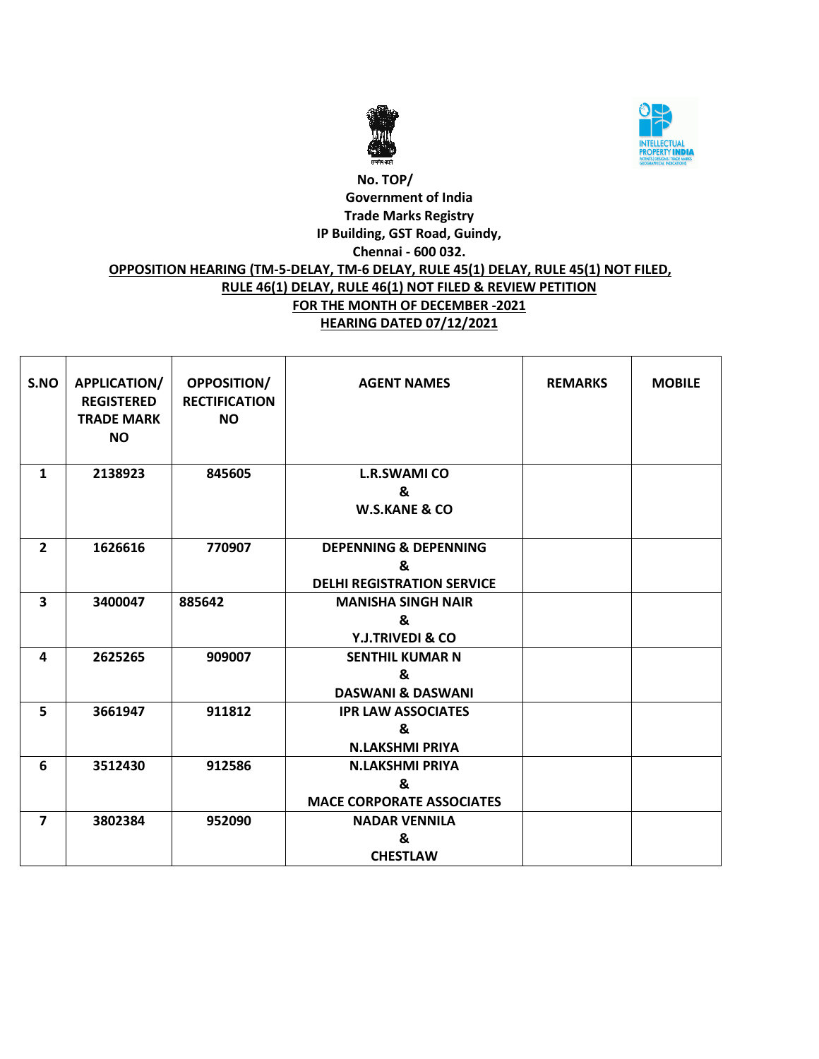



# **No. TOP/ Government of India Trade Marks Registry IP Building, GST Road, Guindy, Chennai - 600 032. OPPOSITION HEARING (TM-5-DELAY, TM-6 DELAY, RULE 45(1) DELAY, RULE 45(1) NOT FILED, RULE 46(1) DELAY, RULE 46(1) NOT FILED & REVIEW PETITION FOR THE MONTH OF DECEMBER -2021 HEARING DATED 07/12/2021**

| S.NO                    | <b>APPLICATION/</b><br><b>REGISTERED</b><br><b>TRADE MARK</b><br><b>NO</b> | OPPOSITION/<br><b>RECTIFICATION</b><br><b>NO</b> | <b>AGENT NAMES</b>                                                         | <b>REMARKS</b> | <b>MOBILE</b> |
|-------------------------|----------------------------------------------------------------------------|--------------------------------------------------|----------------------------------------------------------------------------|----------------|---------------|
| $\mathbf{1}$            | 2138923                                                                    | 845605                                           | <b>L.R.SWAMI CO</b><br>&<br><b>W.S.KANE &amp; CO</b>                       |                |               |
| $\overline{2}$          | 1626616                                                                    | 770907                                           | <b>DEPENNING &amp; DEPENNING</b><br>&<br><b>DELHI REGISTRATION SERVICE</b> |                |               |
| 3                       | 3400047                                                                    | 885642                                           | <b>MANISHA SINGH NAIR</b><br>&<br><b>Y.J.TRIVEDI &amp; CO</b>              |                |               |
| 4                       | 2625265                                                                    | 909007                                           | <b>SENTHIL KUMAR N</b><br>&<br><b>DASWANI &amp; DASWANI</b>                |                |               |
| 5                       | 3661947                                                                    | 911812                                           | <b>IPR LAW ASSOCIATES</b><br>&<br><b>N.LAKSHMI PRIYA</b>                   |                |               |
| 6                       | 3512430                                                                    | 912586                                           | <b>N.LAKSHMI PRIYA</b><br>&<br><b>MACE CORPORATE ASSOCIATES</b>            |                |               |
| $\overline{\mathbf{z}}$ | 3802384                                                                    | 952090                                           | <b>NADAR VENNILA</b><br>&<br><b>CHESTLAW</b>                               |                |               |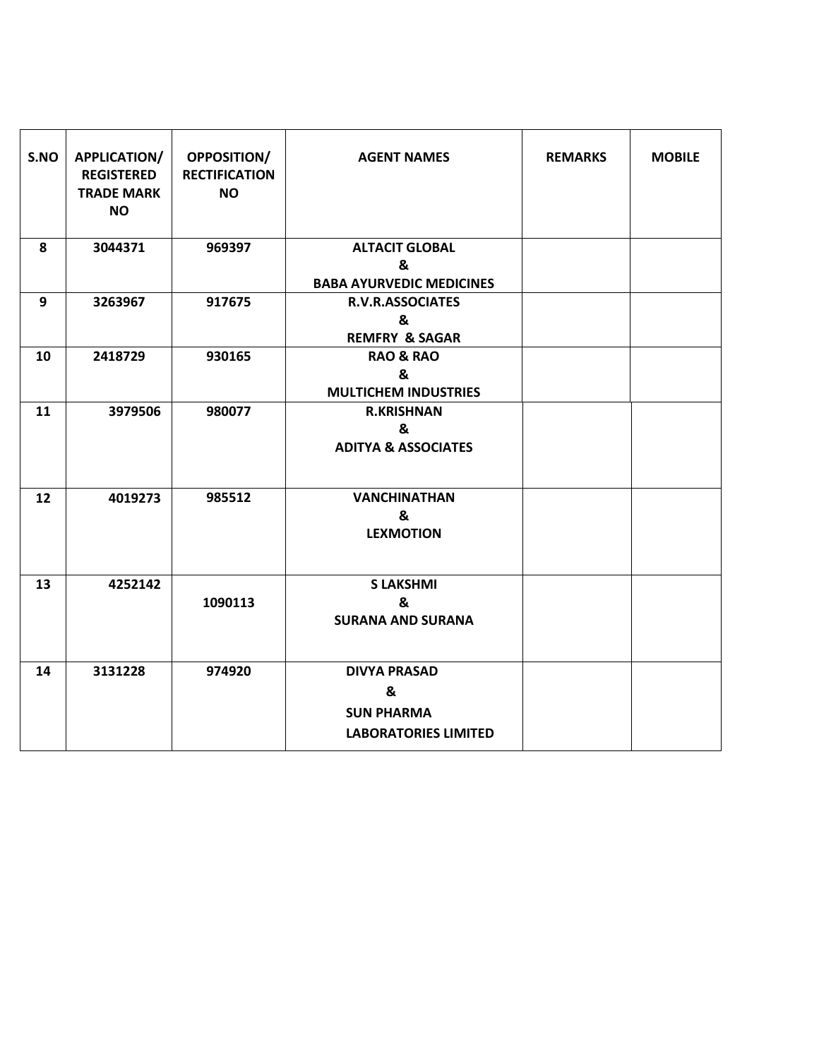| S.NO | <b>APPLICATION/</b><br><b>REGISTERED</b><br><b>TRADE MARK</b><br><b>NO</b> | <b>OPPOSITION/</b><br><b>RECTIFICATION</b><br><b>NO</b> | <b>AGENT NAMES</b>                                                           | <b>REMARKS</b> | <b>MOBILE</b> |
|------|----------------------------------------------------------------------------|---------------------------------------------------------|------------------------------------------------------------------------------|----------------|---------------|
| 8    | 3044371                                                                    | 969397                                                  | <b>ALTACIT GLOBAL</b><br>&<br><b>BABA AYURVEDIC MEDICINES</b>                |                |               |
| 9    | 3263967                                                                    | 917675                                                  | <b>R.V.R.ASSOCIATES</b><br>&<br><b>REMFRY &amp; SAGAR</b>                    |                |               |
| 10   | 2418729                                                                    | 930165                                                  | <b>RAO &amp; RAO</b><br>&<br><b>MULTICHEM INDUSTRIES</b>                     |                |               |
| 11   | 3979506                                                                    | 980077                                                  | <b>R.KRISHNAN</b><br>&<br><b>ADITYA &amp; ASSOCIATES</b>                     |                |               |
| 12   | 4019273                                                                    | 985512                                                  | <b>VANCHINATHAN</b><br>&<br><b>LEXMOTION</b>                                 |                |               |
| 13   | 4252142                                                                    | 1090113                                                 | <b>S LAKSHMI</b><br>&<br><b>SURANA AND SURANA</b>                            |                |               |
| 14   | 3131228                                                                    | 974920                                                  | <b>DIVYA PRASAD</b><br>&<br><b>SUN PHARMA</b><br><b>LABORATORIES LIMITED</b> |                |               |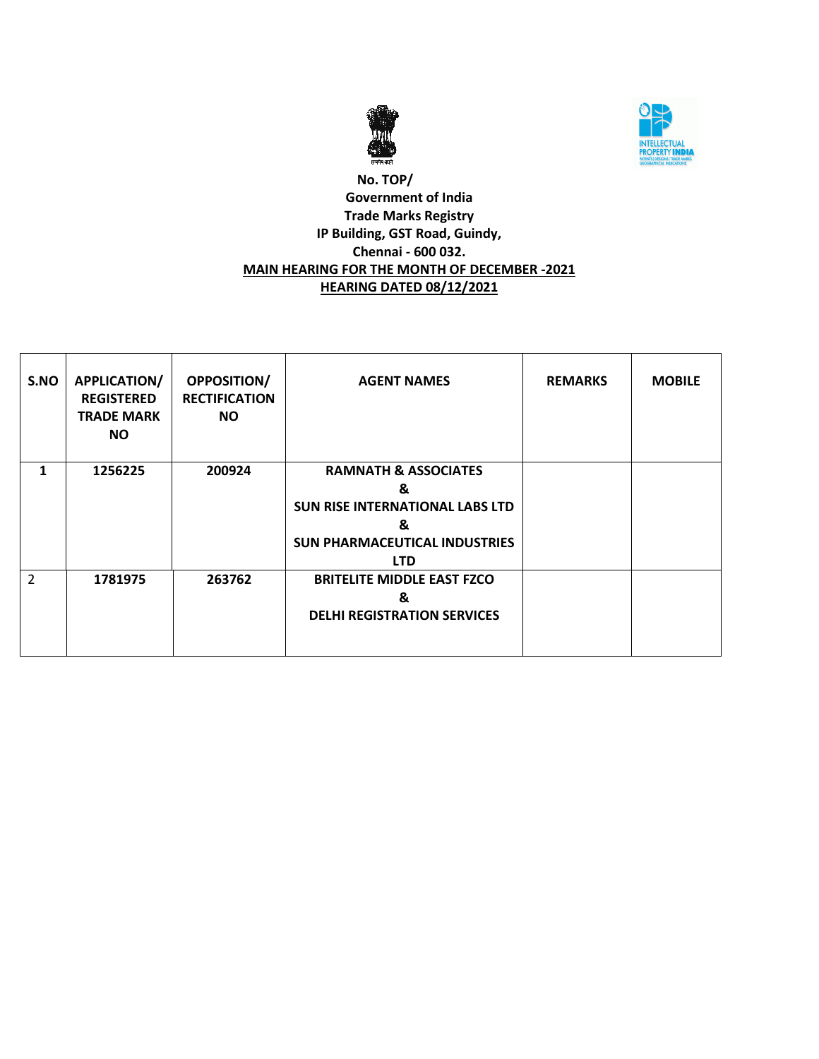



### **No. TOP/ Government of India Trade Marks Registry IP Building, GST Road, Guindy, Chennai - 600 032. MAIN HEARING FOR THE MONTH OF DECEMBER -2021 HEARING DATED 08/12/2021**

| S.NO           | <b>APPLICATION/</b><br><b>REGISTERED</b><br><b>TRADE MARK</b><br><b>NO</b> | <b>OPPOSITION/</b><br><b>RECTIFICATION</b><br>NO. | <b>AGENT NAMES</b>                                                                                                                 | <b>REMARKS</b> | <b>MOBILE</b> |
|----------------|----------------------------------------------------------------------------|---------------------------------------------------|------------------------------------------------------------------------------------------------------------------------------------|----------------|---------------|
| 1              | 1256225                                                                    | 200924                                            | <b>RAMNATH &amp; ASSOCIATES</b><br>&<br>SUN RISE INTERNATIONAL LABS LTD<br>&<br><b>SUN PHARMACEUTICAL INDUSTRIES</b><br><b>LTD</b> |                |               |
| $\overline{2}$ | 1781975                                                                    | 263762                                            | <b>BRITELITE MIDDLE EAST FZCO</b><br>&<br><b>DELHI REGISTRATION SERVICES</b>                                                       |                |               |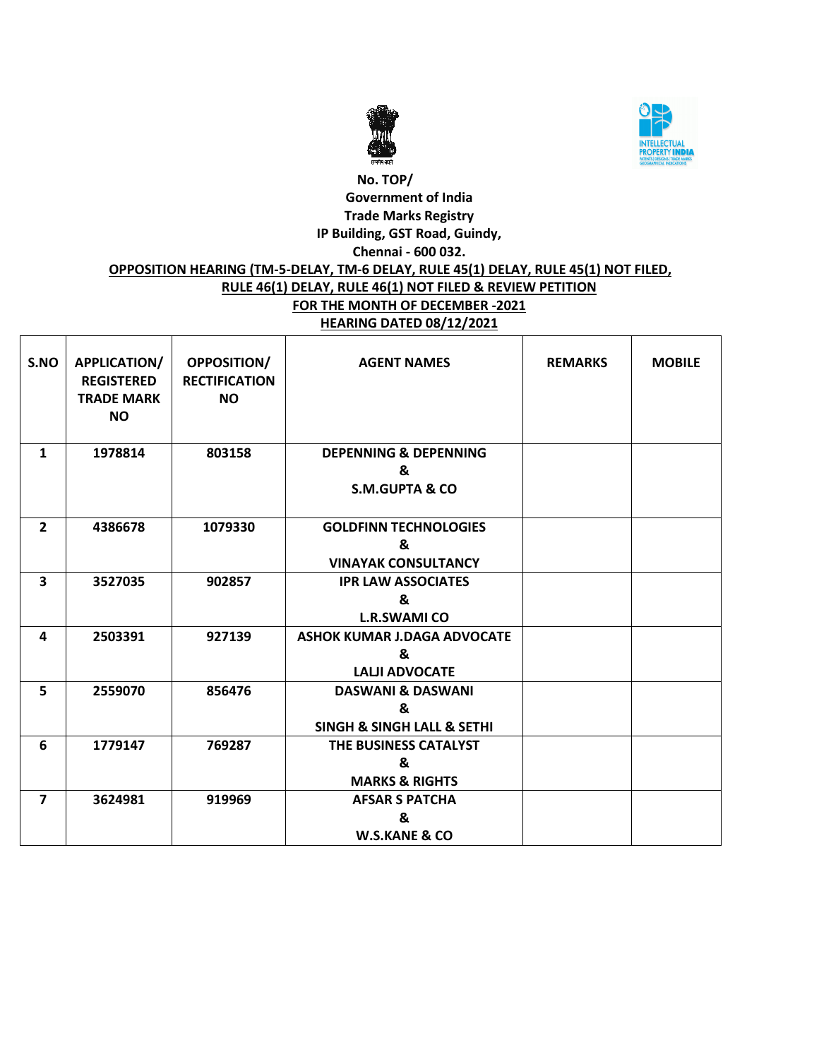



### **No. TOP/ Government of India Trade Marks Registry IP Building, GST Road, Guindy, Chennai - 600 032. OPPOSITION HEARING (TM-5-DELAY, TM-6 DELAY, RULE 45(1) DELAY, RULE 45(1) NOT FILED, RULE 46(1) DELAY, RULE 46(1) NOT FILED & REVIEW PETITION FOR THE MONTH OF DECEMBER -2021**

**HEARING DATED 08/12/2021**

| S.NO                    | <b>APPLICATION/</b><br><b>REGISTERED</b><br><b>TRADE MARK</b><br><b>NO</b> | <b>OPPOSITION/</b><br><b>RECTIFICATION</b><br><b>NO</b> | <b>AGENT NAMES</b>                        | <b>REMARKS</b> | <b>MOBILE</b> |
|-------------------------|----------------------------------------------------------------------------|---------------------------------------------------------|-------------------------------------------|----------------|---------------|
| $\mathbf{1}$            | 1978814                                                                    | 803158                                                  | <b>DEPENNING &amp; DEPENNING</b><br>&     |                |               |
|                         |                                                                            |                                                         | <b>S.M.GUPTA &amp; CO</b>                 |                |               |
| $\overline{2}$          | 4386678                                                                    | 1079330                                                 | <b>GOLDFINN TECHNOLOGIES</b>              |                |               |
|                         |                                                                            |                                                         | &                                         |                |               |
|                         |                                                                            |                                                         | <b>VINAYAK CONSULTANCY</b>                |                |               |
| 3                       | 3527035                                                                    | 902857                                                  | <b>IPR LAW ASSOCIATES</b>                 |                |               |
|                         |                                                                            |                                                         | &<br><b>L.R.SWAMI CO</b>                  |                |               |
| 4                       | 2503391                                                                    | 927139                                                  | <b>ASHOK KUMAR J.DAGA ADVOCATE</b>        |                |               |
|                         |                                                                            |                                                         | &                                         |                |               |
|                         |                                                                            |                                                         | <b>LALJI ADVOCATE</b>                     |                |               |
| 5                       | 2559070                                                                    | 856476                                                  | <b>DASWANI &amp; DASWANI</b>              |                |               |
|                         |                                                                            |                                                         | &                                         |                |               |
|                         |                                                                            |                                                         | <b>SINGH &amp; SINGH LALL &amp; SETHI</b> |                |               |
| 6                       | 1779147                                                                    | 769287                                                  | THE BUSINESS CATALYST                     |                |               |
|                         |                                                                            |                                                         | &                                         |                |               |
|                         |                                                                            |                                                         | <b>MARKS &amp; RIGHTS</b>                 |                |               |
| $\overline{\mathbf{z}}$ | 3624981                                                                    | 919969                                                  | <b>AFSAR S PATCHA</b>                     |                |               |
|                         |                                                                            |                                                         | &                                         |                |               |
|                         |                                                                            |                                                         | <b>W.S.KANE &amp; CO</b>                  |                |               |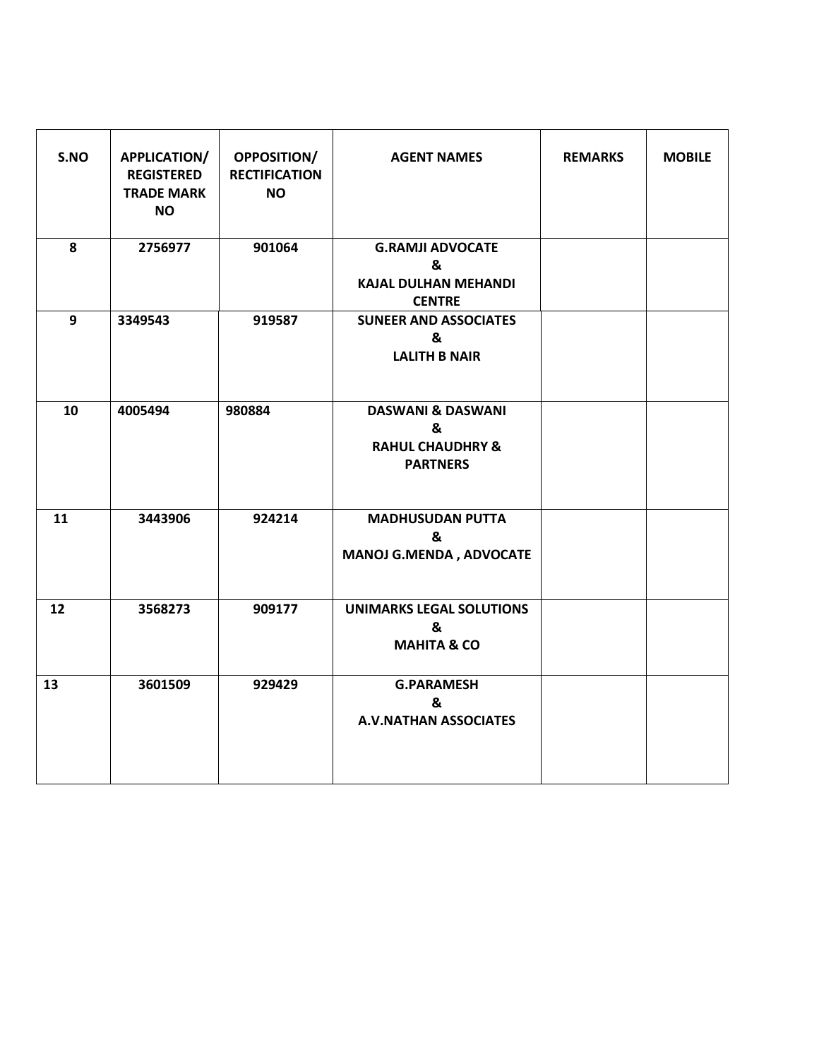| S.NO | APPLICATION/<br><b>REGISTERED</b><br><b>TRADE MARK</b><br><b>NO</b> | <b>OPPOSITION/</b><br><b>RECTIFICATION</b><br><b>NO</b> | <b>AGENT NAMES</b>                                                                  | <b>REMARKS</b> | <b>MOBILE</b> |
|------|---------------------------------------------------------------------|---------------------------------------------------------|-------------------------------------------------------------------------------------|----------------|---------------|
| 8    | 2756977                                                             | 901064                                                  | <b>G.RAMJI ADVOCATE</b><br>&<br><b>KAJAL DULHAN MEHANDI</b><br><b>CENTRE</b>        |                |               |
| 9    | 3349543                                                             | 919587                                                  | <b>SUNEER AND ASSOCIATES</b><br>&<br><b>LALITH B NAIR</b>                           |                |               |
| 10   | 4005494                                                             | 980884                                                  | <b>DASWANI &amp; DASWANI</b><br>&<br><b>RAHUL CHAUDHRY &amp;</b><br><b>PARTNERS</b> |                |               |
| 11   | 3443906                                                             | 924214                                                  | <b>MADHUSUDAN PUTTA</b><br>&<br><b>MANOJ G.MENDA, ADVOCATE</b>                      |                |               |
| 12   | 3568273                                                             | 909177                                                  | <b>UNIMARKS LEGAL SOLUTIONS</b><br>&<br><b>MAHITA &amp; CO</b>                      |                |               |
| 13   | 3601509                                                             | 929429                                                  | <b>G.PARAMESH</b><br>&<br><b>A.V.NATHAN ASSOCIATES</b>                              |                |               |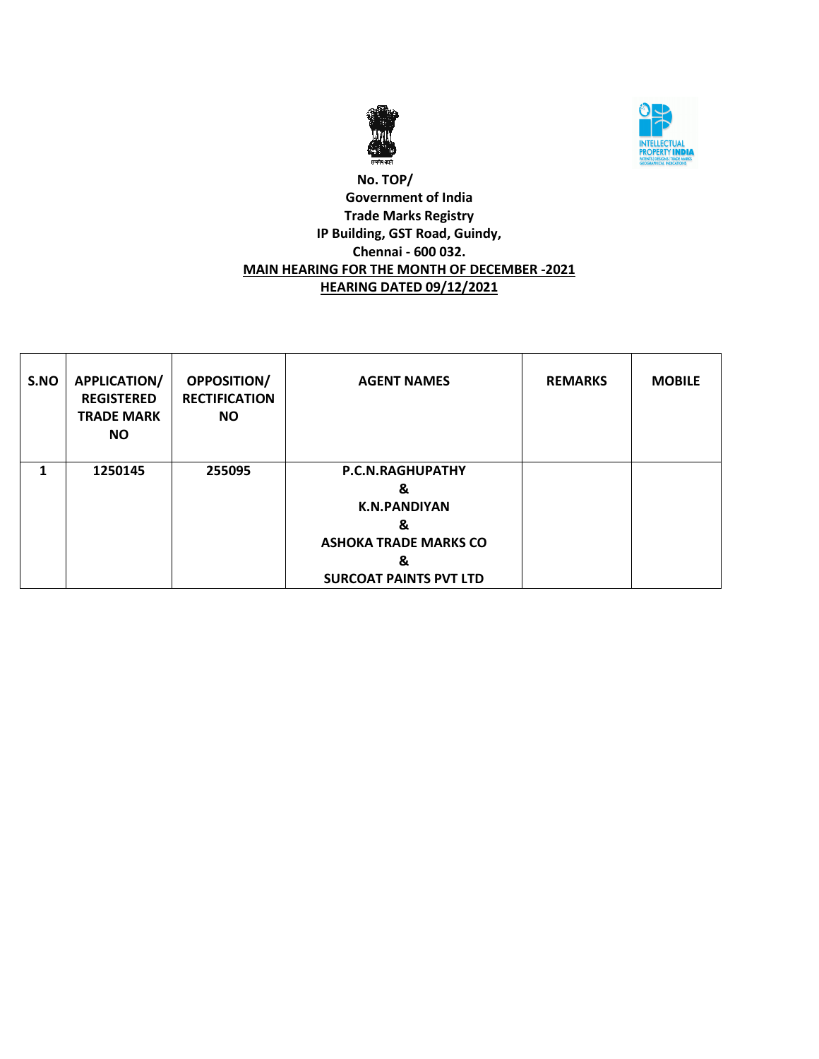



### **No. TOP/ Government of India Trade Marks Registry IP Building, GST Road, Guindy, Chennai - 600 032. MAIN HEARING FOR THE MONTH OF DECEMBER -2021 HEARING DATED 09/12/2021**

| S.NO | <b>APPLICATION/</b><br><b>REGISTERED</b><br><b>TRADE MARK</b><br><b>NO</b> | <b>OPPOSITION/</b><br><b>RECTIFICATION</b><br><b>NO</b> | <b>AGENT NAMES</b>                                                                                                      | <b>REMARKS</b> | <b>MOBILE</b> |
|------|----------------------------------------------------------------------------|---------------------------------------------------------|-------------------------------------------------------------------------------------------------------------------------|----------------|---------------|
| 1    | 1250145                                                                    | 255095                                                  | P.C.N.RAGHUPATHY<br>&<br><b>K.N.PANDIYAN</b><br>&<br><b>ASHOKA TRADE MARKS CO</b><br>&<br><b>SURCOAT PAINTS PVT LTD</b> |                |               |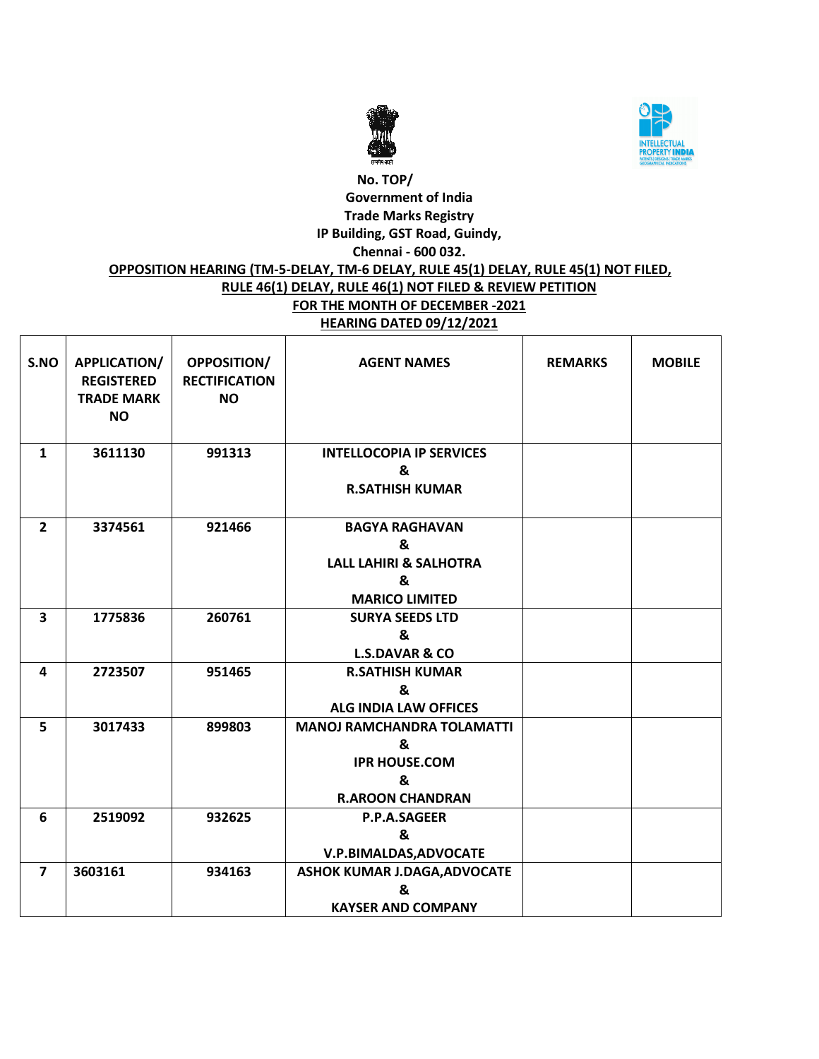



# **No. TOP/ Government of India Trade Marks Registry IP Building, GST Road, Guindy, Chennai - 600 032. OPPOSITION HEARING (TM-5-DELAY, TM-6 DELAY, RULE 45(1) DELAY, RULE 45(1) NOT FILED, RULE 46(1) DELAY, RULE 46(1) NOT FILED & REVIEW PETITION**

#### **FOR THE MONTH OF DECEMBER -2021 HEARING DATED 09/12/2021**

| S.NO           | APPLICATION/<br><b>REGISTERED</b><br><b>TRADE MARK</b><br><b>NO</b> | OPPOSITION/<br><b>RECTIFICATION</b><br><b>NO</b> | <b>AGENT NAMES</b>                                                                              | <b>REMARKS</b> | <b>MOBILE</b> |
|----------------|---------------------------------------------------------------------|--------------------------------------------------|-------------------------------------------------------------------------------------------------|----------------|---------------|
| $\mathbf{1}$   | 3611130                                                             | 991313                                           | <b>INTELLOCOPIA IP SERVICES</b><br>&<br><b>R.SATHISH KUMAR</b>                                  |                |               |
| $\overline{2}$ | 3374561                                                             | 921466                                           | <b>BAGYA RAGHAVAN</b><br>&<br><b>LALL LAHIRI &amp; SALHOTRA</b><br>&<br><b>MARICO LIMITED</b>   |                |               |
| 3              | 1775836                                                             | 260761                                           | <b>SURYA SEEDS LTD</b><br>&<br><b>L.S.DAVAR &amp; CO</b>                                        |                |               |
| 4              | 2723507                                                             | 951465                                           | <b>R.SATHISH KUMAR</b><br>&<br><b>ALG INDIA LAW OFFICES</b>                                     |                |               |
| 5              | 3017433                                                             | 899803                                           | <b>MANOJ RAMCHANDRA TOLAMATTI</b><br>&<br><b>IPR HOUSE, COM</b><br>&<br><b>R.AROON CHANDRAN</b> |                |               |
| 6              | 2519092                                                             | 932625                                           | P.P.A.SAGEER<br>&<br>V.P.BIMALDAS, ADVOCATE                                                     |                |               |
| $\overline{7}$ | 3603161                                                             | 934163                                           | <b>ASHOK KUMAR J.DAGA, ADVOCATE</b><br>&<br><b>KAYSER AND COMPANY</b>                           |                |               |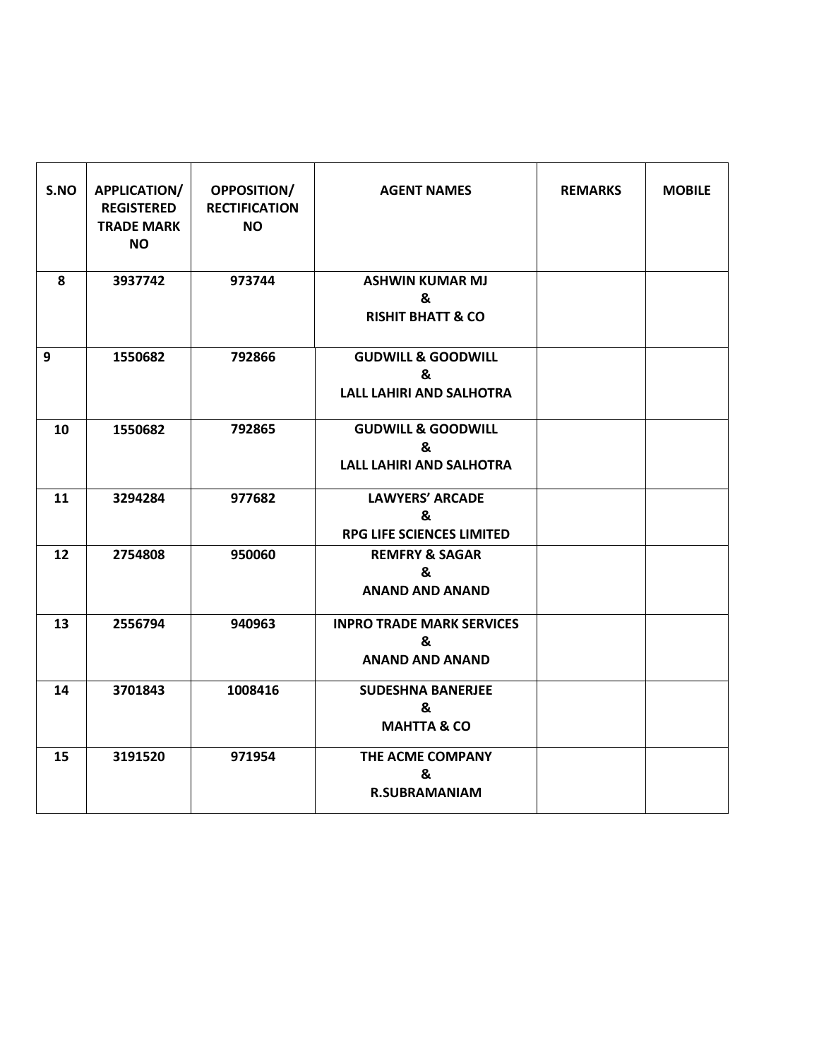| S.NO | APPLICATION/<br><b>REGISTERED</b><br><b>TRADE MARK</b><br><b>NO</b> | OPPOSITION/<br><b>RECTIFICATION</b><br><b>NO</b> | <b>AGENT NAMES</b>                                                    | <b>REMARKS</b> | <b>MOBILE</b> |
|------|---------------------------------------------------------------------|--------------------------------------------------|-----------------------------------------------------------------------|----------------|---------------|
| 8    | 3937742                                                             | 973744                                           | <b>ASHWIN KUMAR MJ</b><br>&<br><b>RISHIT BHATT &amp; CO</b>           |                |               |
| 9    | 1550682                                                             | 792866                                           | <b>GUDWILL &amp; GOODWILL</b><br>&<br><b>LALL LAHIRI AND SALHOTRA</b> |                |               |
| 10   | 1550682                                                             | 792865                                           | <b>GUDWILL &amp; GOODWILL</b><br>&<br><b>LALL LAHIRI AND SALHOTRA</b> |                |               |
| 11   | 3294284                                                             | 977682                                           | <b>LAWYERS' ARCADE</b><br>&<br><b>RPG LIFE SCIENCES LIMITED</b>       |                |               |
| 12   | 2754808                                                             | 950060                                           | <b>REMFRY &amp; SAGAR</b><br>&<br><b>ANAND AND ANAND</b>              |                |               |
| 13   | 2556794                                                             | 940963                                           | <b>INPRO TRADE MARK SERVICES</b><br>&<br><b>ANAND AND ANAND</b>       |                |               |
| 14   | 3701843                                                             | 1008416                                          | <b>SUDESHNA BANERJEE</b><br>&<br><b>MAHTTA &amp; CO</b>               |                |               |
| 15   | 3191520                                                             | 971954                                           | THE ACME COMPANY<br>&<br><b>R.SUBRAMANIAM</b>                         |                |               |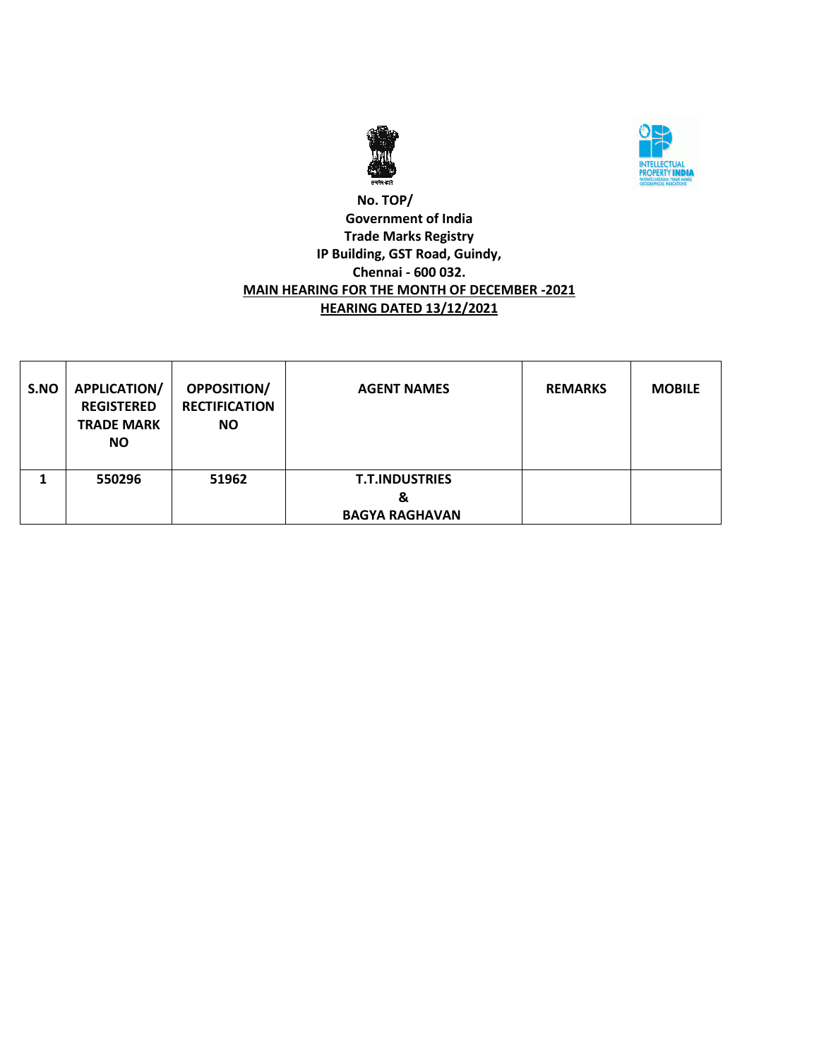



### **No. TOP/ Government of India Trade Marks Registry IP Building, GST Road, Guindy, Chennai - 600 032. MAIN HEARING FOR THE MONTH OF DECEMBER -2021 HEARING DATED 13/12/2021**

| S.NO | <b>APPLICATION/</b><br><b>REGISTERED</b><br><b>TRADE MARK</b><br><b>NO</b> | <b>OPPOSITION/</b><br><b>RECTIFICATION</b><br><b>NO</b> | <b>AGENT NAMES</b>                                  | <b>REMARKS</b> | <b>MOBILE</b> |
|------|----------------------------------------------------------------------------|---------------------------------------------------------|-----------------------------------------------------|----------------|---------------|
|      | 550296                                                                     | 51962                                                   | <b>T.T.INDUSTRIES</b><br>&<br><b>BAGYA RAGHAVAN</b> |                |               |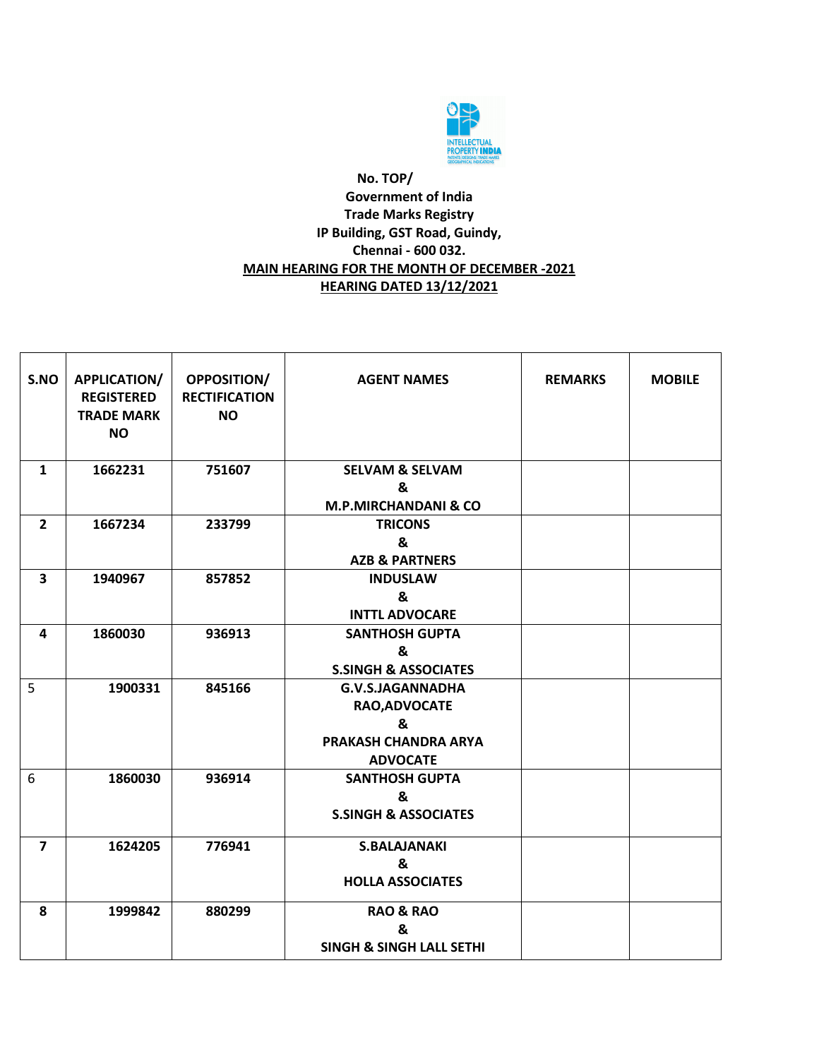

### **No. TOP/ Government of India Trade Marks Registry IP Building, GST Road, Guindy, Chennai - 600 032. MAIN HEARING FOR THE MONTH OF DECEMBER -2021 HEARING DATED 13/12/2021**

| S.NO           | <b>APPLICATION/</b><br><b>REGISTERED</b><br><b>TRADE MARK</b><br><b>NO</b> | <b>OPPOSITION/</b><br><b>RECTIFICATION</b><br><b>NO</b> | <b>AGENT NAMES</b>                                                                | <b>REMARKS</b> | <b>MOBILE</b> |
|----------------|----------------------------------------------------------------------------|---------------------------------------------------------|-----------------------------------------------------------------------------------|----------------|---------------|
| $\mathbf{1}$   | 1662231                                                                    | 751607                                                  | <b>SELVAM &amp; SELVAM</b><br>&<br><b>M.P.MIRCHANDANI &amp; CO</b>                |                |               |
| $\overline{2}$ | 1667234                                                                    | 233799                                                  | <b>TRICONS</b><br>&<br><b>AZB &amp; PARTNERS</b>                                  |                |               |
| 3              | 1940967                                                                    | 857852                                                  | <b>INDUSLAW</b><br>&<br><b>INTTL ADVOCARE</b>                                     |                |               |
| 4              | 1860030                                                                    | 936913                                                  | <b>SANTHOSH GUPTA</b><br>&<br><b>S.SINGH &amp; ASSOCIATES</b>                     |                |               |
| 5              | 1900331                                                                    | 845166                                                  | G.V.S.JAGANNADHA<br>RAO, ADVOCATE<br>&<br>PRAKASH CHANDRA ARYA<br><b>ADVOCATE</b> |                |               |
| 6              | 1860030                                                                    | 936914                                                  | <b>SANTHOSH GUPTA</b><br>&<br><b>S.SINGH &amp; ASSOCIATES</b>                     |                |               |
| $\overline{7}$ | 1624205                                                                    | 776941                                                  | <b>S.BALAJANAKI</b><br>&<br><b>HOLLA ASSOCIATES</b>                               |                |               |
| 8              | 1999842                                                                    | 880299                                                  | <b>RAO &amp; RAO</b><br>&<br><b>SINGH &amp; SINGH LALL SETHI</b>                  |                |               |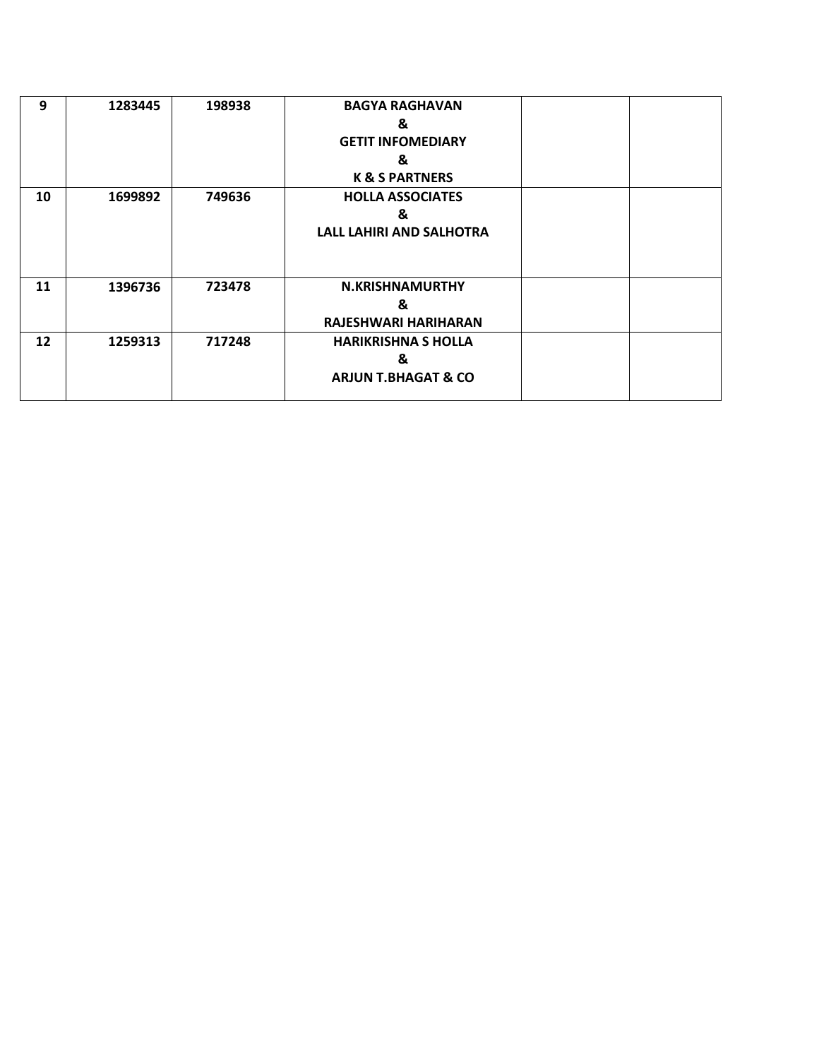| 9  | 1283445 | 198938 | <b>BAGYA RAGHAVAN</b>           |  |
|----|---------|--------|---------------------------------|--|
|    |         |        | &                               |  |
|    |         |        | <b>GETIT INFOMEDIARY</b>        |  |
|    |         |        | &                               |  |
|    |         |        | <b>K &amp; S PARTNERS</b>       |  |
| 10 | 1699892 | 749636 | <b>HOLLA ASSOCIATES</b>         |  |
|    |         |        | &                               |  |
|    |         |        | <b>LALL LAHIRI AND SALHOTRA</b> |  |
|    |         |        |                                 |  |
|    |         |        |                                 |  |
| 11 | 1396736 | 723478 | <b>N.KRISHNAMURTHY</b>          |  |
|    |         |        | &                               |  |
|    |         |        | RAJESHWARI HARIHARAN            |  |
| 12 | 1259313 | 717248 | <b>HARIKRISHNA S HOLLA</b>      |  |
|    |         |        | &                               |  |
|    |         |        | <b>ARJUN T.BHAGAT &amp; CO</b>  |  |
|    |         |        |                                 |  |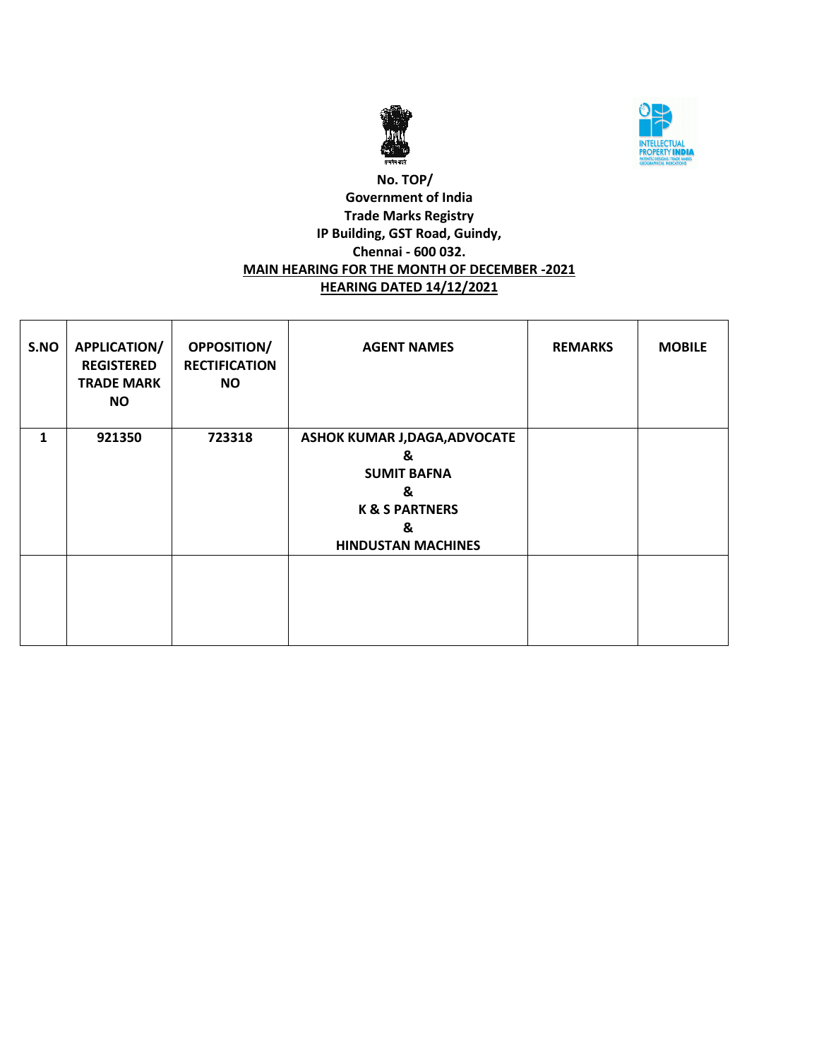



### **No. TOP/ Government of India Trade Marks Registry IP Building, GST Road, Guindy, Chennai - 600 032. MAIN HEARING FOR THE MONTH OF DECEMBER -2021 HEARING DATED 14/12/2021**

| S.NO | <b>APPLICATION/</b><br><b>REGISTERED</b><br><b>TRADE MARK</b><br><b>NO</b> | OPPOSITION/<br><b>RECTIFICATION</b><br><b>NO</b> | <b>AGENT NAMES</b>                                                                                                                | <b>REMARKS</b> | <b>MOBILE</b> |
|------|----------------------------------------------------------------------------|--------------------------------------------------|-----------------------------------------------------------------------------------------------------------------------------------|----------------|---------------|
| 1    | 921350                                                                     | 723318                                           | <b>ASHOK KUMAR J,DAGA,ADVOCATE</b><br>&<br><b>SUMIT BAFNA</b><br>&<br><b>K &amp; S PARTNERS</b><br>&<br><b>HINDUSTAN MACHINES</b> |                |               |
|      |                                                                            |                                                  |                                                                                                                                   |                |               |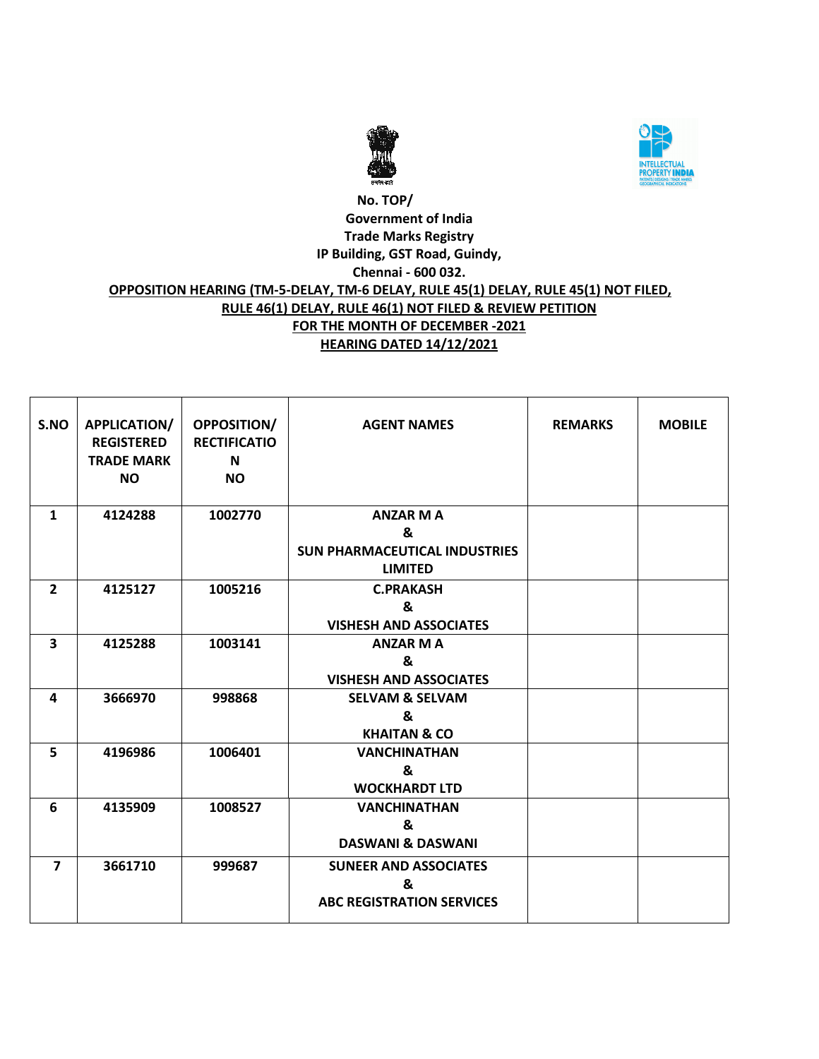



### **No. TOP/ Government of India Trade Marks Registry IP Building, GST Road, Guindy, Chennai - 600 032. OPPOSITION HEARING (TM-5-DELAY, TM-6 DELAY, RULE 45(1) DELAY, RULE 45(1) NOT FILED, RULE 46(1) DELAY, RULE 46(1) NOT FILED & REVIEW PETITION FOR THE MONTH OF DECEMBER -2021 HEARING DATED 14/12/2021**

| S.NO           | APPLICATION/      | <b>OPPOSITION/</b>  | <b>AGENT NAMES</b>                   | <b>REMARKS</b> | <b>MOBILE</b> |
|----------------|-------------------|---------------------|--------------------------------------|----------------|---------------|
|                | <b>REGISTERED</b> | <b>RECTIFICATIO</b> |                                      |                |               |
|                | <b>TRADE MARK</b> | $\mathbf N$         |                                      |                |               |
|                | <b>NO</b>         | <b>NO</b>           |                                      |                |               |
|                |                   |                     |                                      |                |               |
| $\mathbf{1}$   | 4124288           | 1002770             | <b>ANZAR M A</b>                     |                |               |
|                |                   |                     | &                                    |                |               |
|                |                   |                     | <b>SUN PHARMACEUTICAL INDUSTRIES</b> |                |               |
|                |                   |                     | <b>LIMITED</b>                       |                |               |
| $\overline{2}$ | 4125127           | 1005216             | <b>C.PRAKASH</b>                     |                |               |
|                |                   |                     | &                                    |                |               |
|                |                   |                     | <b>VISHESH AND ASSOCIATES</b>        |                |               |
| 3              | 4125288           | 1003141             | <b>ANZAR M A</b>                     |                |               |
|                |                   |                     | &                                    |                |               |
|                |                   |                     | <b>VISHESH AND ASSOCIATES</b>        |                |               |
| 4              | 3666970           | 998868              | <b>SELVAM &amp; SELVAM</b>           |                |               |
|                |                   |                     | &                                    |                |               |
|                |                   |                     | <b>KHAITAN &amp; CO</b>              |                |               |
| 5              | 4196986           | 1006401             | <b>VANCHINATHAN</b>                  |                |               |
|                |                   |                     | &                                    |                |               |
|                |                   |                     | <b>WOCKHARDT LTD</b>                 |                |               |
| 6              | 4135909           | 1008527             | <b>VANCHINATHAN</b>                  |                |               |
|                |                   |                     | $\mathbf{z}$                         |                |               |
|                |                   |                     | <b>DASWANI &amp; DASWANI</b>         |                |               |
| $\overline{7}$ | 3661710           | 999687              | <b>SUNEER AND ASSOCIATES</b>         |                |               |
|                |                   |                     | &                                    |                |               |
|                |                   |                     | <b>ABC REGISTRATION SERVICES</b>     |                |               |
|                |                   |                     |                                      |                |               |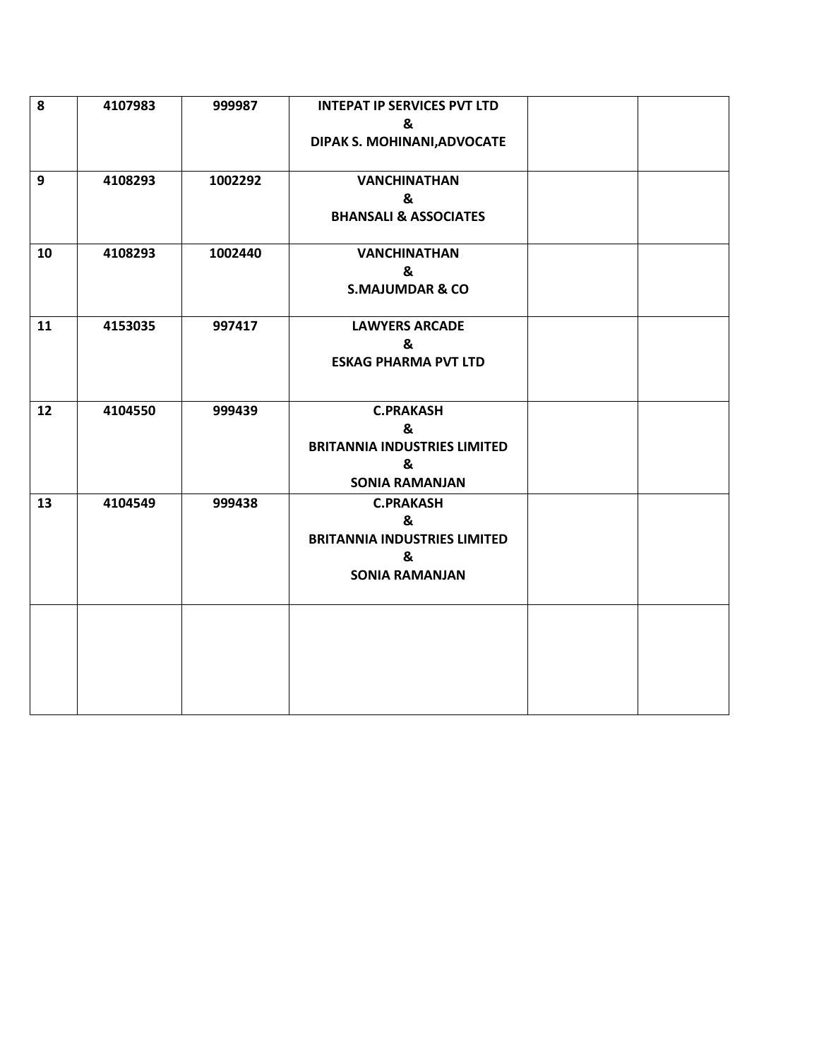| 8  | 4107983 | 999987  | <b>INTEPAT IP SERVICES PVT LTD</b><br>&<br>DIPAK S. MOHINANI, ADVOCATE                     |  |
|----|---------|---------|--------------------------------------------------------------------------------------------|--|
| 9  | 4108293 | 1002292 | <b>VANCHINATHAN</b><br>&<br><b>BHANSALI &amp; ASSOCIATES</b>                               |  |
| 10 | 4108293 | 1002440 | <b>VANCHINATHAN</b><br>&<br><b>S.MAJUMDAR &amp; CO</b>                                     |  |
| 11 | 4153035 | 997417  | <b>LAWYERS ARCADE</b><br>&<br><b>ESKAG PHARMA PVT LTD</b>                                  |  |
| 12 | 4104550 | 999439  | <b>C.PRAKASH</b><br>&<br><b>BRITANNIA INDUSTRIES LIMITED</b><br>&<br><b>SONIA RAMANJAN</b> |  |
| 13 | 4104549 | 999438  | <b>C.PRAKASH</b><br>&<br><b>BRITANNIA INDUSTRIES LIMITED</b><br>&<br><b>SONIA RAMANJAN</b> |  |
|    |         |         |                                                                                            |  |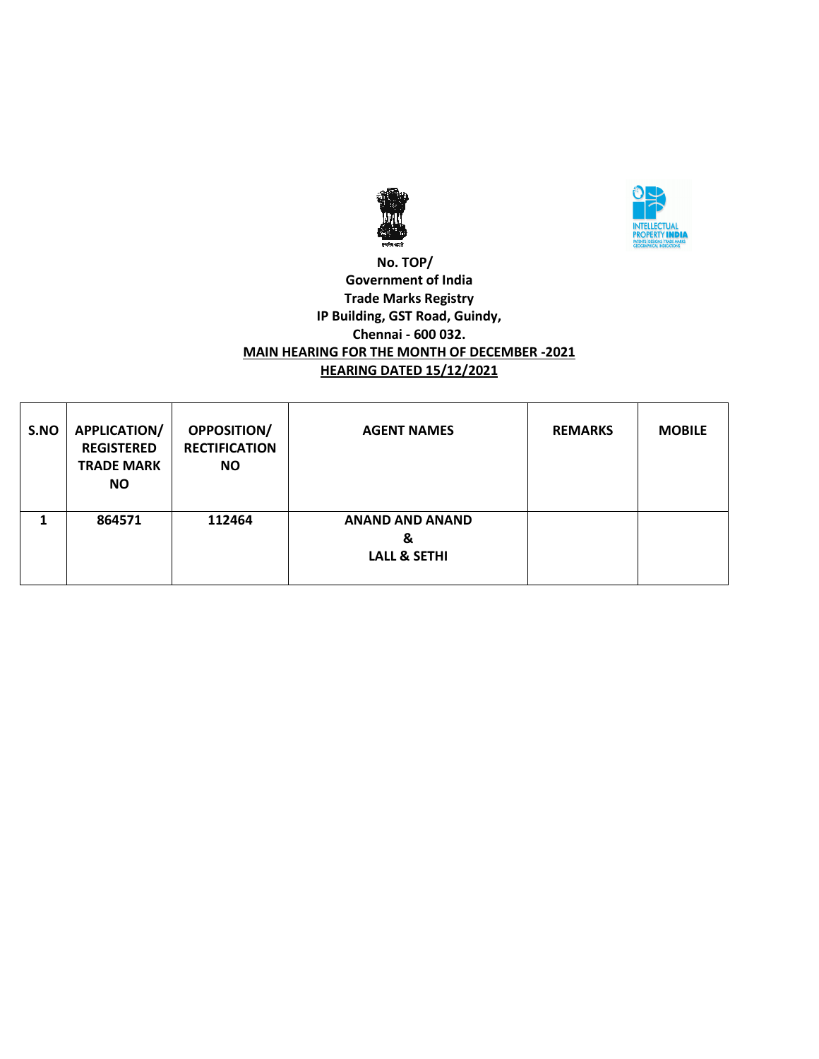



### **No. TOP/ Government of India Trade Marks Registry IP Building, GST Road, Guindy, Chennai - 600 032. MAIN HEARING FOR THE MONTH OF DECEMBER -2021 HEARING DATED 15/12/2021**

| S.NO | <b>APPLICATION/</b><br><b>REGISTERED</b><br><b>TRADE MARK</b><br>NO. | <b>OPPOSITION/</b><br><b>RECTIFICATION</b><br><b>NO</b> | <b>AGENT NAMES</b>                                     | <b>REMARKS</b> | <b>MOBILE</b> |
|------|----------------------------------------------------------------------|---------------------------------------------------------|--------------------------------------------------------|----------------|---------------|
|      | 864571                                                               | 112464                                                  | <b>ANAND AND ANAND</b><br>&<br><b>LALL &amp; SETHI</b> |                |               |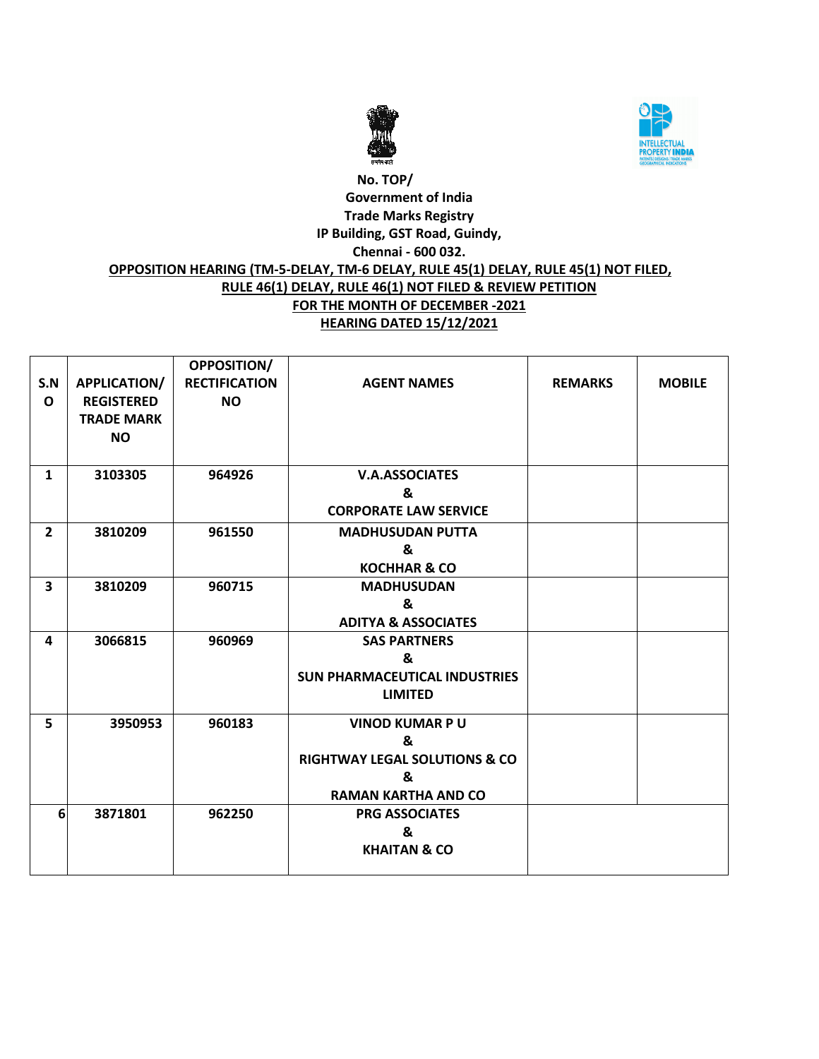



# **No. TOP/ Government of India Trade Marks Registry IP Building, GST Road, Guindy, Chennai - 600 032. OPPOSITION HEARING (TM-5-DELAY, TM-6 DELAY, RULE 45(1) DELAY, RULE 45(1) NOT FILED, RULE 46(1) DELAY, RULE 46(1) NOT FILED & REVIEW PETITION FOR THE MONTH OF DECEMBER -2021 HEARING DATED 15/12/2021**

|                |                     | <b>OPPOSITION/</b>   |                                           |                |               |
|----------------|---------------------|----------------------|-------------------------------------------|----------------|---------------|
| S.N            | <b>APPLICATION/</b> | <b>RECTIFICATION</b> | <b>AGENT NAMES</b>                        | <b>REMARKS</b> | <b>MOBILE</b> |
| $\mathbf{o}$   | <b>REGISTERED</b>   | <b>NO</b>            |                                           |                |               |
|                | <b>TRADE MARK</b>   |                      |                                           |                |               |
|                | <b>NO</b>           |                      |                                           |                |               |
|                |                     |                      |                                           |                |               |
| $\mathbf{1}$   | 3103305             | 964926               | <b>V.A.ASSOCIATES</b>                     |                |               |
|                |                     |                      | &                                         |                |               |
|                |                     |                      | <b>CORPORATE LAW SERVICE</b>              |                |               |
| $\overline{2}$ | 3810209             | 961550               | <b>MADHUSUDAN PUTTA</b>                   |                |               |
|                |                     |                      | &                                         |                |               |
|                |                     |                      | <b>KOCHHAR &amp; CO</b>                   |                |               |
| 3              | 3810209             | 960715               | <b>MADHUSUDAN</b>                         |                |               |
|                |                     |                      | &                                         |                |               |
|                |                     |                      | <b>ADITYA &amp; ASSOCIATES</b>            |                |               |
| 4              | 3066815             | 960969               | <b>SAS PARTNERS</b>                       |                |               |
|                |                     |                      | &                                         |                |               |
|                |                     |                      | <b>SUN PHARMACEUTICAL INDUSTRIES</b>      |                |               |
|                |                     |                      | <b>LIMITED</b>                            |                |               |
| 5              | 3950953             | 960183               | <b>VINOD KUMAR PU</b>                     |                |               |
|                |                     |                      | &                                         |                |               |
|                |                     |                      | <b>RIGHTWAY LEGAL SOLUTIONS &amp; CO.</b> |                |               |
|                |                     |                      | &                                         |                |               |
|                |                     |                      | <b>RAMAN KARTHA AND CO</b>                |                |               |
| 6              | 3871801             | 962250               | <b>PRG ASSOCIATES</b>                     |                |               |
|                |                     |                      | &                                         |                |               |
|                |                     |                      | <b>KHAITAN &amp; CO</b>                   |                |               |
|                |                     |                      |                                           |                |               |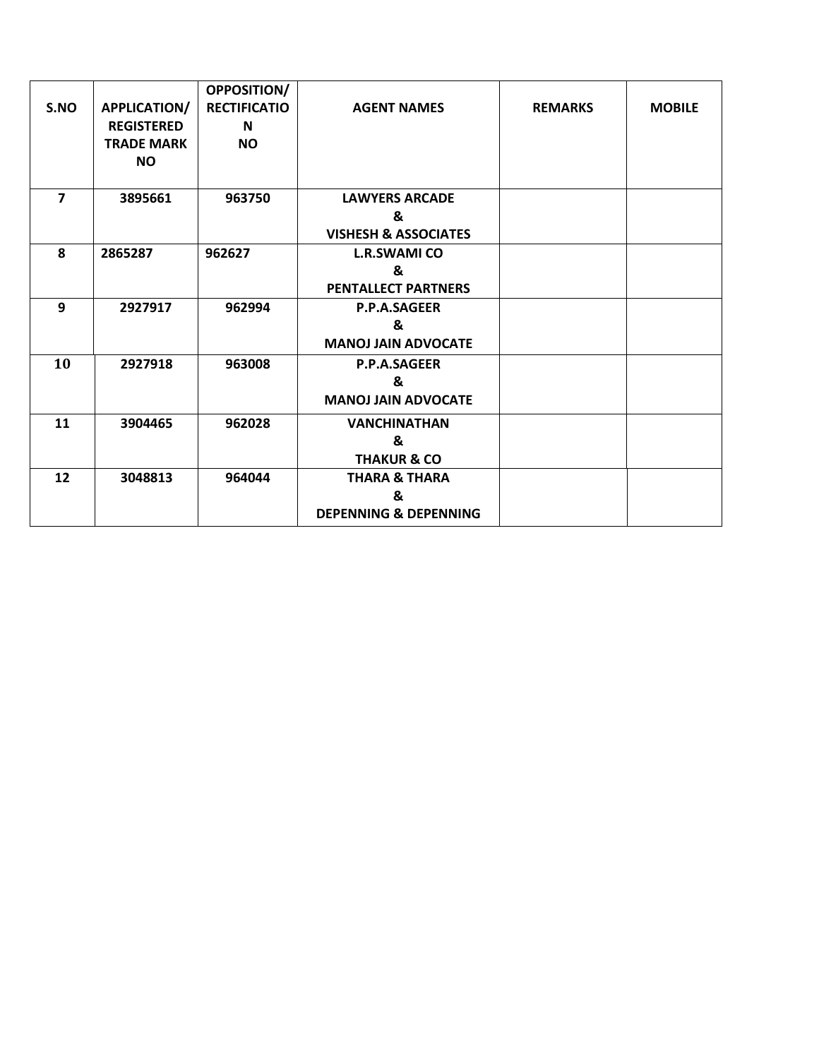|                |                   | <b>OPPOSITION/</b>  |                                  |                |               |
|----------------|-------------------|---------------------|----------------------------------|----------------|---------------|
| S.NO           | APPLICATION/      | <b>RECTIFICATIO</b> | <b>AGENT NAMES</b>               | <b>REMARKS</b> | <b>MOBILE</b> |
|                | <b>REGISTERED</b> | N                   |                                  |                |               |
|                | <b>TRADE MARK</b> | <b>NO</b>           |                                  |                |               |
|                | <b>NO</b>         |                     |                                  |                |               |
|                |                   |                     |                                  |                |               |
| $\overline{ }$ | 3895661           | 963750              | <b>LAWYERS ARCADE</b>            |                |               |
|                |                   |                     | &                                |                |               |
|                |                   |                     | <b>VISHESH &amp; ASSOCIATES</b>  |                |               |
| 8              | 2865287           | 962627              | <b>L.R.SWAMI CO</b>              |                |               |
|                |                   |                     | &                                |                |               |
|                |                   |                     | <b>PENTALLECT PARTNERS</b>       |                |               |
| 9              | 2927917           | 962994              | <b>P.P.A.SAGEER</b>              |                |               |
|                |                   |                     | &                                |                |               |
|                |                   |                     | <b>MANOJ JAIN ADVOCATE</b>       |                |               |
| 10             | 2927918           | 963008              | <b>P.P.A.SAGEER</b>              |                |               |
|                |                   |                     | &                                |                |               |
|                |                   |                     | <b>MANOJ JAIN ADVOCATE</b>       |                |               |
| 11             | 3904465           | 962028              | <b>VANCHINATHAN</b>              |                |               |
|                |                   |                     | &                                |                |               |
|                |                   |                     | <b>THAKUR &amp; CO</b>           |                |               |
| 12             | 3048813           | 964044              | <b>THARA &amp; THARA</b>         |                |               |
|                |                   |                     | &                                |                |               |
|                |                   |                     | <b>DEPENNING &amp; DEPENNING</b> |                |               |
|                |                   |                     |                                  |                |               |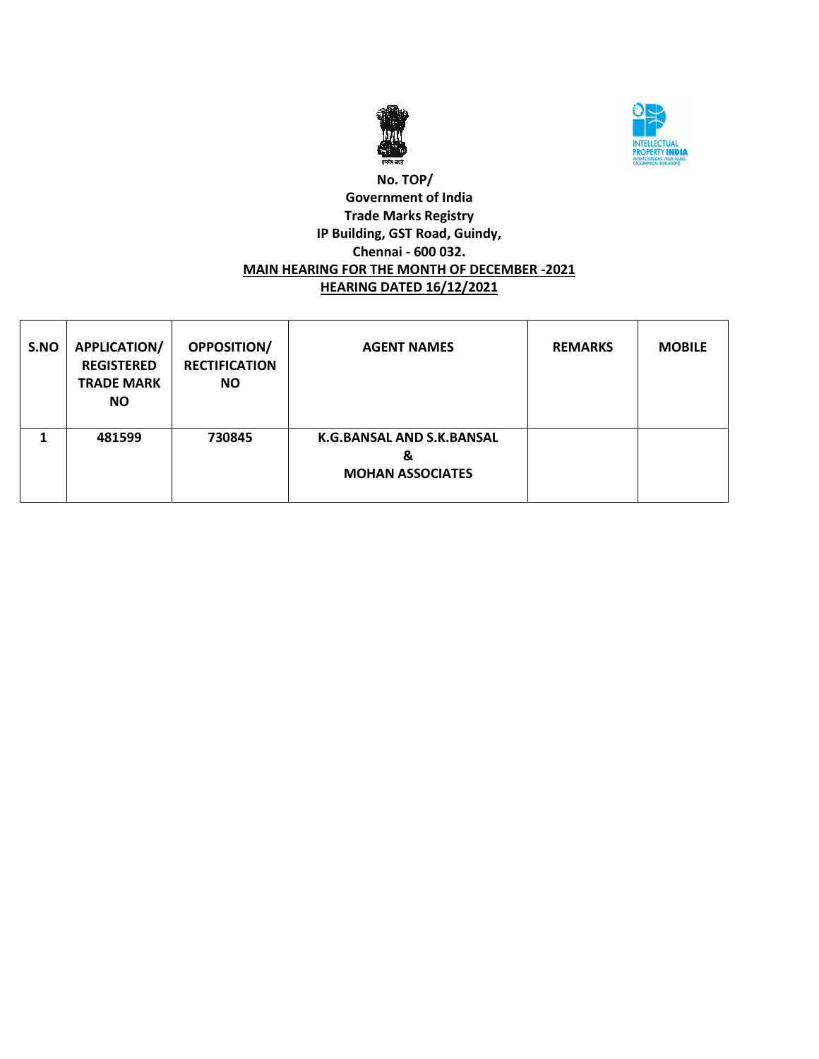



### **No. TOP/ Government of India Trade Marks Registry IP Building, GST Road, Guindy, Chennai - 600 032. MAIN HEARING FOR THE MONTH OF DECEMBER -2021 HEARING DATED 16/12/2021**

| S.NO | <b>APPLICATION/</b><br><b>REGISTERED</b><br><b>TRADE MARK</b><br>NO. | <b>OPPOSITION/</b><br><b>RECTIFICATION</b><br><b>NO</b> | <b>AGENT NAMES</b>                                        | <b>REMARKS</b> | <b>MOBILE</b> |
|------|----------------------------------------------------------------------|---------------------------------------------------------|-----------------------------------------------------------|----------------|---------------|
|      | 481599                                                               | 730845                                                  | K.G.BANSAL AND S.K.BANSAL<br>&<br><b>MOHAN ASSOCIATES</b> |                |               |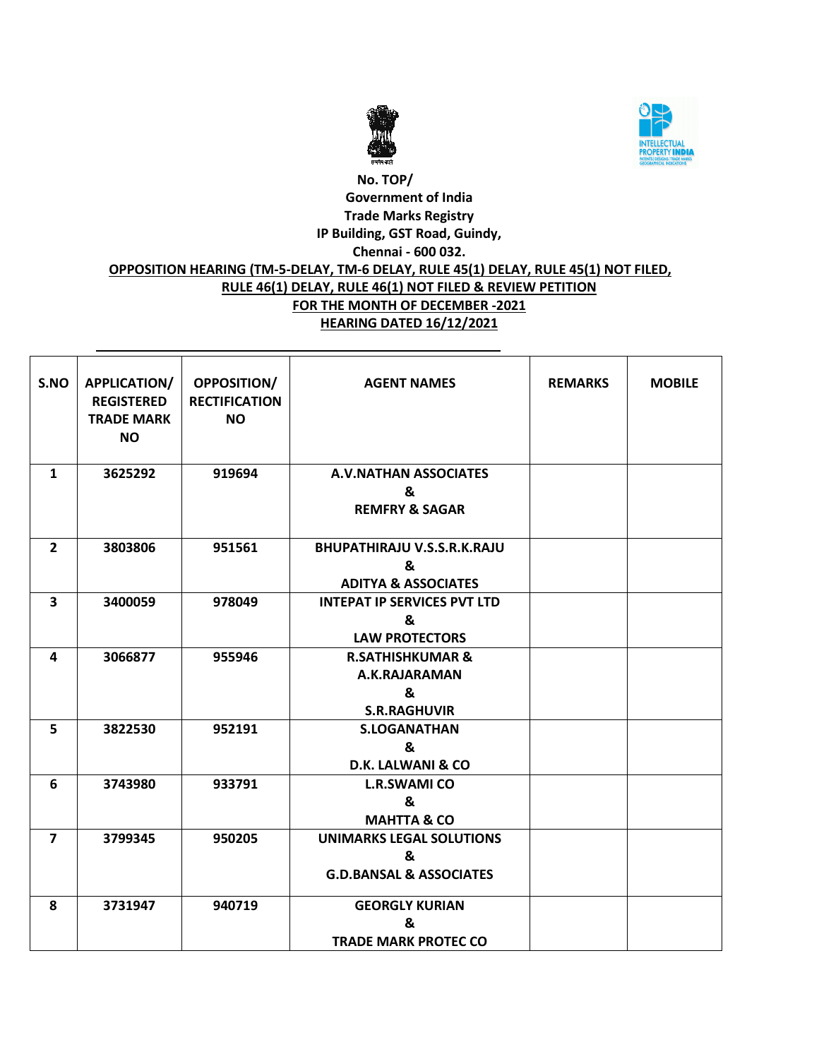



# **No. TOP/ Government of India Trade Marks Registry IP Building, GST Road, Guindy, Chennai - 600 032. OPPOSITION HEARING (TM-5-DELAY, TM-6 DELAY, RULE 45(1) DELAY, RULE 45(1) NOT FILED, RULE 46(1) DELAY, RULE 46(1) NOT FILED & REVIEW PETITION FOR THE MONTH OF DECEMBER -2021 HEARING DATED 16/12/2021**

| S.NO                    | <b>APPLICATION/</b><br><b>REGISTERED</b><br><b>TRADE MARK</b><br><b>NO</b> | <b>OPPOSITION/</b><br><b>RECTIFICATION</b><br><b>NO</b> | <b>AGENT NAMES</b>                                                         | <b>REMARKS</b> | <b>MOBILE</b> |
|-------------------------|----------------------------------------------------------------------------|---------------------------------------------------------|----------------------------------------------------------------------------|----------------|---------------|
| 1                       | 3625292                                                                    | 919694                                                  | <b>A.V.NATHAN ASSOCIATES</b><br>&<br><b>REMFRY &amp; SAGAR</b>             |                |               |
| $\overline{2}$          | 3803806                                                                    | 951561                                                  | <b>BHUPATHIRAJU V.S.S.R.K.RAJU</b><br>&<br><b>ADITYA &amp; ASSOCIATES</b>  |                |               |
| $\overline{\mathbf{3}}$ | 3400059                                                                    | 978049                                                  | <b>INTEPAT IP SERVICES PVT LTD</b><br>&<br><b>LAW PROTECTORS</b>           |                |               |
| 4                       | 3066877                                                                    | 955946                                                  | <b>R.SATHISHKUMAR &amp;</b><br>A.K.RAJARAMAN<br>&<br><b>S.R.RAGHUVIR</b>   |                |               |
| 5                       | 3822530                                                                    | 952191                                                  | <b>S.LOGANATHAN</b><br>&<br><b>D.K. LALWANI &amp; CO</b>                   |                |               |
| 6                       | 3743980                                                                    | 933791                                                  | <b>L.R.SWAMI CO</b><br>&<br><b>MAHTTA &amp; CO</b>                         |                |               |
| $\overline{7}$          | 3799345                                                                    | 950205                                                  | <b>UNIMARKS LEGAL SOLUTIONS</b><br>&<br><b>G.D.BANSAL &amp; ASSOCIATES</b> |                |               |
| 8                       | 3731947                                                                    | 940719                                                  | <b>GEORGLY KURIAN</b><br>&<br><b>TRADE MARK PROTEC CO</b>                  |                |               |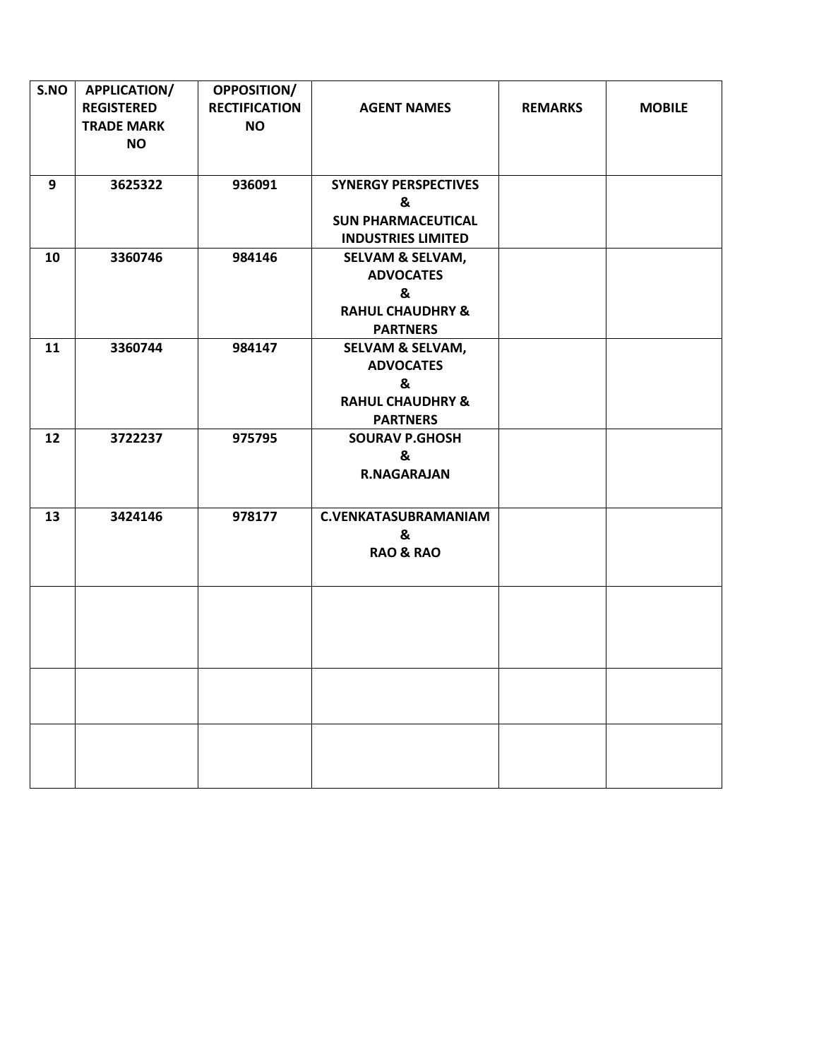| S.NO | <b>APPLICATION/</b><br><b>REGISTERED</b><br><b>TRADE MARK</b><br><b>NO</b> | <b>OPPOSITION/</b><br><b>RECTIFICATION</b><br><b>NO</b> | <b>AGENT NAMES</b>                                                                                     | <b>REMARKS</b> | <b>MOBILE</b> |
|------|----------------------------------------------------------------------------|---------------------------------------------------------|--------------------------------------------------------------------------------------------------------|----------------|---------------|
| 9    | 3625322                                                                    | 936091                                                  | <b>SYNERGY PERSPECTIVES</b><br>&<br><b>SUN PHARMACEUTICAL</b><br><b>INDUSTRIES LIMITED</b>             |                |               |
| 10   | 3360746                                                                    | 984146                                                  | <b>SELVAM &amp; SELVAM,</b><br><b>ADVOCATES</b><br>&<br><b>RAHUL CHAUDHRY &amp;</b><br><b>PARTNERS</b> |                |               |
| 11   | 3360744                                                                    | 984147                                                  | <b>SELVAM &amp; SELVAM,</b><br><b>ADVOCATES</b><br>&<br><b>RAHUL CHAUDHRY &amp;</b><br><b>PARTNERS</b> |                |               |
| 12   | 3722237                                                                    | 975795                                                  | <b>SOURAV P.GHOSH</b><br>&<br><b>R.NAGARAJAN</b>                                                       |                |               |
| 13   | 3424146                                                                    | 978177                                                  | <b>C.VENKATASUBRAMANIAM</b><br>&<br><b>RAO &amp; RAO</b>                                               |                |               |
|      |                                                                            |                                                         |                                                                                                        |                |               |
|      |                                                                            |                                                         |                                                                                                        |                |               |
|      |                                                                            |                                                         |                                                                                                        |                |               |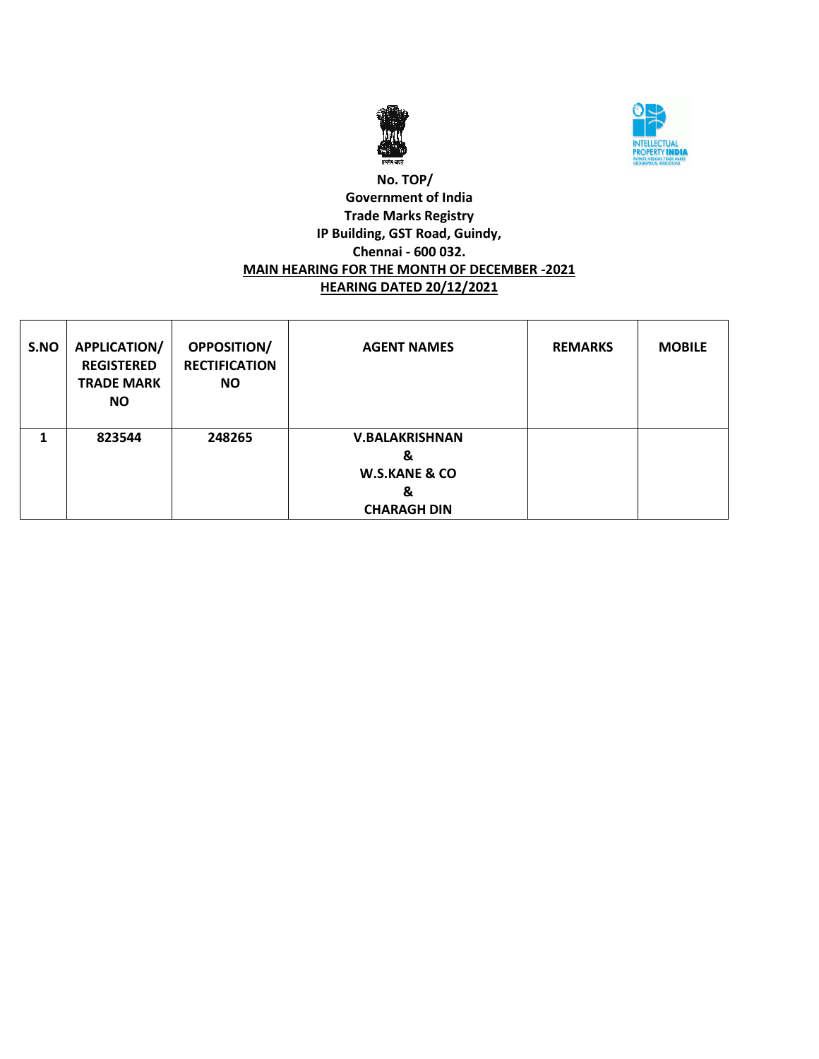



### **No. TOP/ Government of India Trade Marks Registry IP Building, GST Road, Guindy, Chennai - 600 032. MAIN HEARING FOR THE MONTH OF DECEMBER -2021 HEARING DATED 20/12/2021**

| S.NO | <b>APPLICATION/</b><br><b>REGISTERED</b><br><b>TRADE MARK</b><br><b>NO</b> | <b>OPPOSITION/</b><br><b>RECTIFICATION</b><br><b>NO</b> | <b>AGENT NAMES</b>                                                                | <b>REMARKS</b> | <b>MOBILE</b> |
|------|----------------------------------------------------------------------------|---------------------------------------------------------|-----------------------------------------------------------------------------------|----------------|---------------|
|      | 823544                                                                     | 248265                                                  | <b>V.BALAKRISHNAN</b><br>&<br><b>W.S.KANE &amp; CO</b><br>&<br><b>CHARAGH DIN</b> |                |               |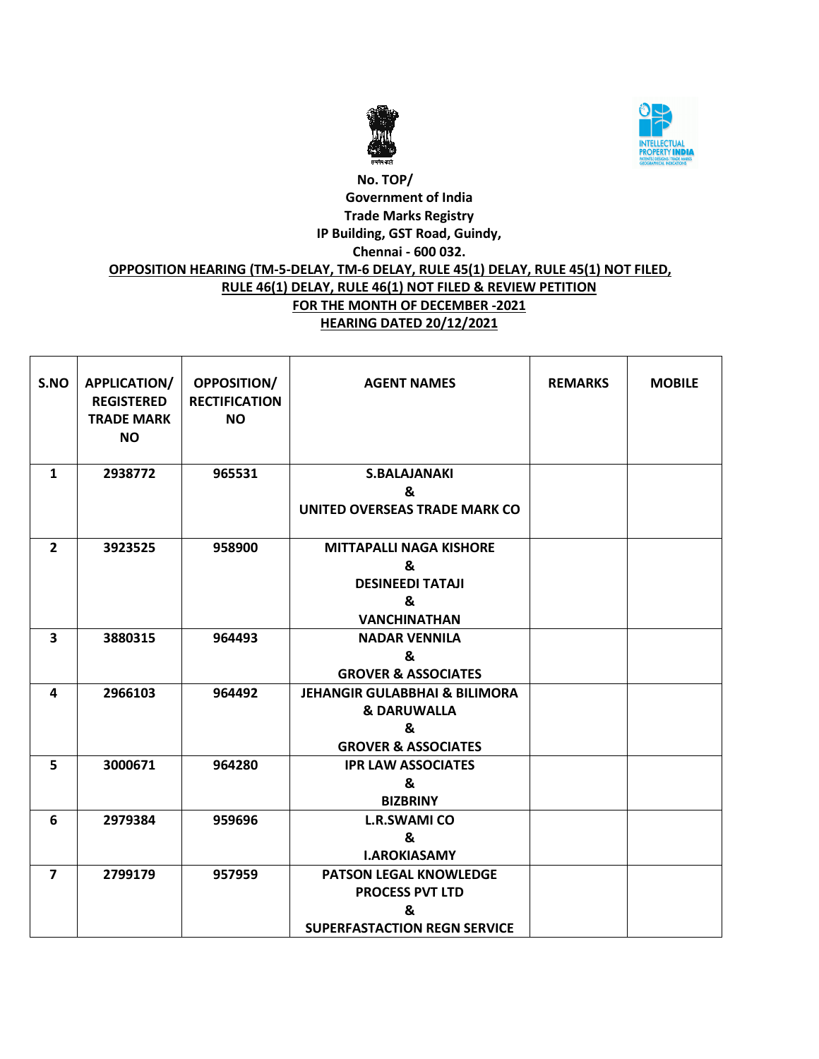



# **No. TOP/ Government of India Trade Marks Registry IP Building, GST Road, Guindy, Chennai - 600 032. OPPOSITION HEARING (TM-5-DELAY, TM-6 DELAY, RULE 45(1) DELAY, RULE 45(1) NOT FILED, RULE 46(1) DELAY, RULE 46(1) NOT FILED & REVIEW PETITION FOR THE MONTH OF DECEMBER -2021 HEARING DATED 20/12/2021**

| S.NO                    | APPLICATION/<br><b>REGISTERED</b><br><b>TRADE MARK</b><br><b>NO</b> | <b>OPPOSITION/</b><br><b>RECTIFICATION</b><br><b>NO</b> | <b>AGENT NAMES</b>                                                                                        | <b>REMARKS</b> | <b>MOBILE</b> |
|-------------------------|---------------------------------------------------------------------|---------------------------------------------------------|-----------------------------------------------------------------------------------------------------------|----------------|---------------|
| $\mathbf{1}$            | 2938772                                                             | 965531                                                  | <b>S.BALAJANAKI</b><br>&<br>UNITED OVERSEAS TRADE MARK CO                                                 |                |               |
| $\overline{2}$          | 3923525                                                             | 958900                                                  | <b>MITTAPALLI NAGA KISHORE</b><br>&<br><b>DESINEEDI TATAJI</b><br>&<br><b>VANCHINATHAN</b>                |                |               |
| $\overline{\mathbf{3}}$ | 3880315                                                             | 964493                                                  | <b>NADAR VENNILA</b><br>&<br><b>GROVER &amp; ASSOCIATES</b>                                               |                |               |
| 4                       | 2966103                                                             | 964492                                                  | <b>JEHANGIR GULABBHAI &amp; BILIMORA</b><br><b>&amp; DARUWALLA</b><br>&<br><b>GROVER &amp; ASSOCIATES</b> |                |               |
| 5                       | 3000671                                                             | 964280                                                  | <b>IPR LAW ASSOCIATES</b><br>&<br><b>BIZBRINY</b>                                                         |                |               |
| 6                       | 2979384                                                             | 959696                                                  | <b>L.R.SWAMI CO</b><br>&<br><b>I.AROKIASAMY</b>                                                           |                |               |
| $\overline{7}$          | 2799179                                                             | 957959                                                  | <b>PATSON LEGAL KNOWLEDGE</b><br><b>PROCESS PVT LTD</b><br>&<br><b>SUPERFASTACTION REGN SERVICE</b>       |                |               |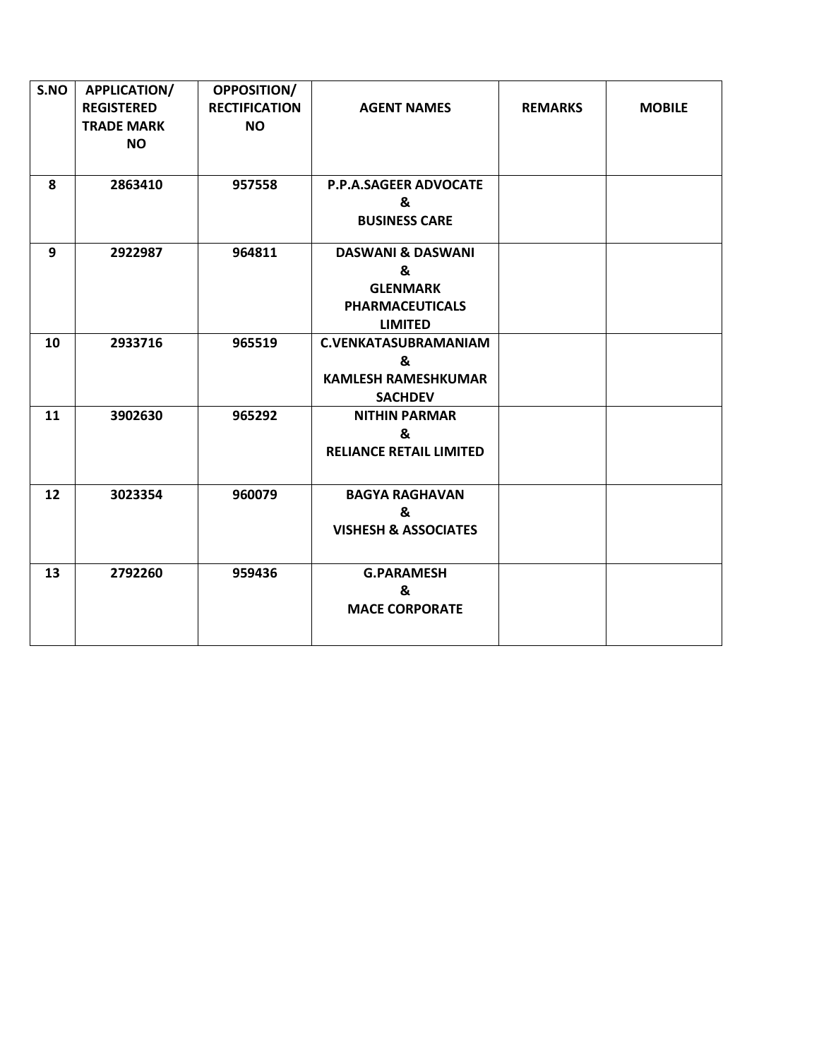| S.NO | <b>APPLICATION/</b><br><b>REGISTERED</b><br><b>TRADE MARK</b><br><b>NO</b> | <b>OPPOSITION/</b><br><b>RECTIFICATION</b><br><b>NO</b> | <b>AGENT NAMES</b>                                                                               | <b>REMARKS</b> | <b>MOBILE</b> |
|------|----------------------------------------------------------------------------|---------------------------------------------------------|--------------------------------------------------------------------------------------------------|----------------|---------------|
| 8    | 2863410                                                                    | 957558                                                  | <b>P.P.A.SAGEER ADVOCATE</b><br>&<br><b>BUSINESS CARE</b>                                        |                |               |
| 9    | 2922987                                                                    | 964811                                                  | <b>DASWANI &amp; DASWANI</b><br>&<br><b>GLENMARK</b><br><b>PHARMACEUTICALS</b><br><b>LIMITED</b> |                |               |
| 10   | 2933716                                                                    | 965519                                                  | <b>C.VENKATASUBRAMANIAM</b><br>&<br><b>KAMLESH RAMESHKUMAR</b><br><b>SACHDEV</b>                 |                |               |
| 11   | 3902630                                                                    | 965292                                                  | <b>NITHIN PARMAR</b><br>&<br><b>RELIANCE RETAIL LIMITED</b>                                      |                |               |
| 12   | 3023354                                                                    | 960079                                                  | <b>BAGYA RAGHAVAN</b><br>&<br><b>VISHESH &amp; ASSOCIATES</b>                                    |                |               |
| 13   | 2792260                                                                    | 959436                                                  | <b>G.PARAMESH</b><br>&<br><b>MACE CORPORATE</b>                                                  |                |               |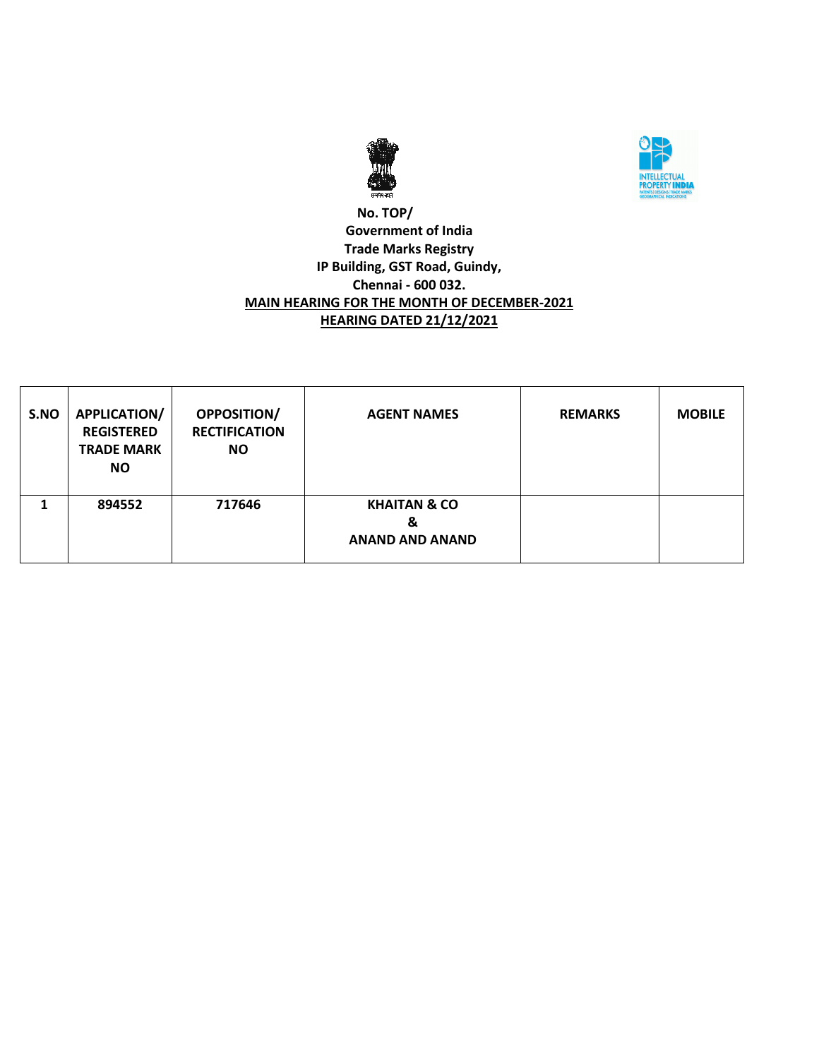



### **No. TOP/ Government of India Trade Marks Registry IP Building, GST Road, Guindy, Chennai - 600 032. MAIN HEARING FOR THE MONTH OF DECEMBER-2021 HEARING DATED 21/12/2021**

| S.NO | APPLICATION/<br><b>REGISTERED</b><br><b>TRADE MARK</b><br><b>NO</b> | <b>OPPOSITION/</b><br><b>RECTIFICATION</b><br><b>NO</b> | <b>AGENT NAMES</b>                                     | <b>REMARKS</b> | <b>MOBILE</b> |
|------|---------------------------------------------------------------------|---------------------------------------------------------|--------------------------------------------------------|----------------|---------------|
|      | 894552                                                              | 717646                                                  | <b>KHAITAN &amp; CO</b><br>&<br><b>ANAND AND ANAND</b> |                |               |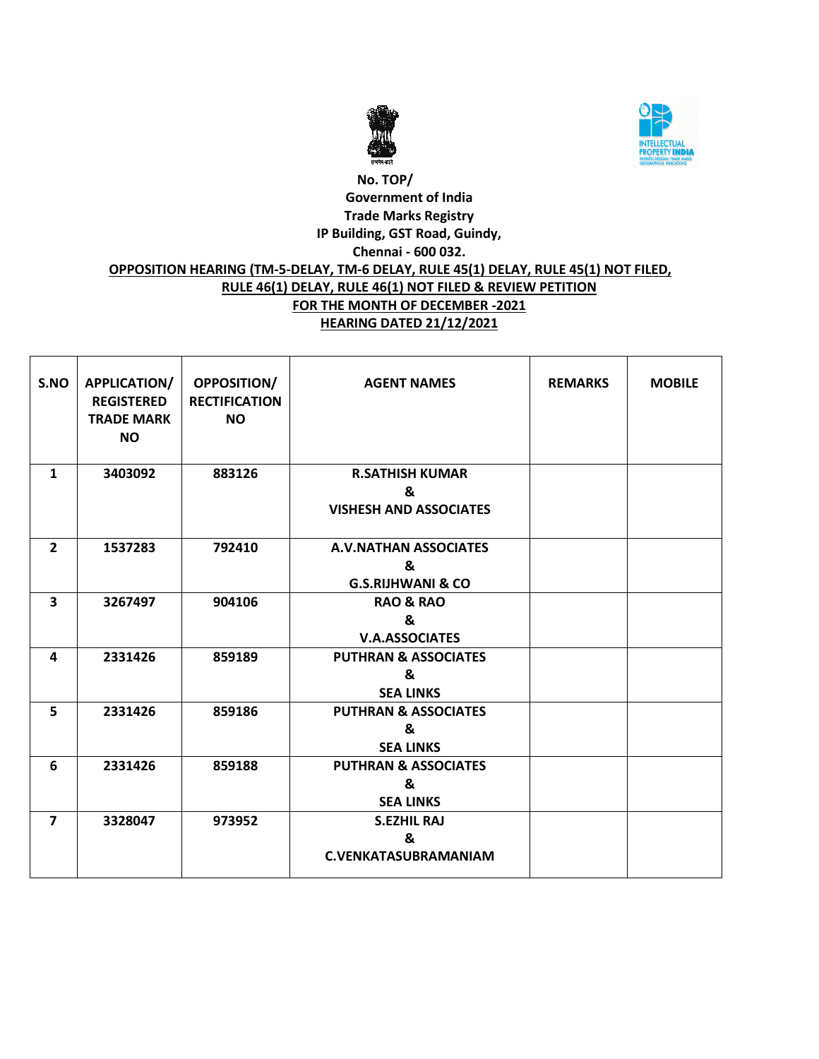



# **No. TOP/ Government of India Trade Marks Registry IP Building, GST Road, Guindy, Chennai - 600 032. OPPOSITION HEARING (TM-5-DELAY, TM-6 DELAY, RULE 45(1) DELAY, RULE 45(1) NOT FILED, RULE 46(1) DELAY, RULE 46(1) NOT FILED & REVIEW PETITION FOR THE MONTH OF DECEMBER -2021 HEARING DATED 21/12/2021**

| S.NO           | APPLICATION/<br><b>REGISTERED</b><br><b>TRADE MARK</b><br><b>NO</b> | <b>OPPOSITION/</b><br><b>RECTIFICATION</b><br><b>NO</b> | <b>AGENT NAMES</b>                                                | <b>REMARKS</b> | <b>MOBILE</b> |
|----------------|---------------------------------------------------------------------|---------------------------------------------------------|-------------------------------------------------------------------|----------------|---------------|
| $\mathbf{1}$   | 3403092                                                             | 883126                                                  | <b>R.SATHISH KUMAR</b><br>&<br><b>VISHESH AND ASSOCIATES</b>      |                |               |
| $\overline{2}$ | 1537283                                                             | 792410                                                  | <b>A.V.NATHAN ASSOCIATES</b><br>&<br><b>G.S.RIJHWANI &amp; CO</b> |                |               |
| 3              | 3267497                                                             | 904106                                                  | <b>RAO &amp; RAO</b><br>&<br><b>V.A.ASSOCIATES</b>                |                |               |
| 4              | 2331426                                                             | 859189                                                  | <b>PUTHRAN &amp; ASSOCIATES</b><br>&<br><b>SEA LINKS</b>          |                |               |
| 5              | 2331426                                                             | 859186                                                  | <b>PUTHRAN &amp; ASSOCIATES</b><br>&<br><b>SEA LINKS</b>          |                |               |
| 6              | 2331426                                                             | 859188                                                  | <b>PUTHRAN &amp; ASSOCIATES</b><br>&<br><b>SEA LINKS</b>          |                |               |
| $\overline{7}$ | 3328047                                                             | 973952                                                  | <b>S.EZHIL RAJ</b><br>&<br><b>C.VENKATASUBRAMANIAM</b>            |                |               |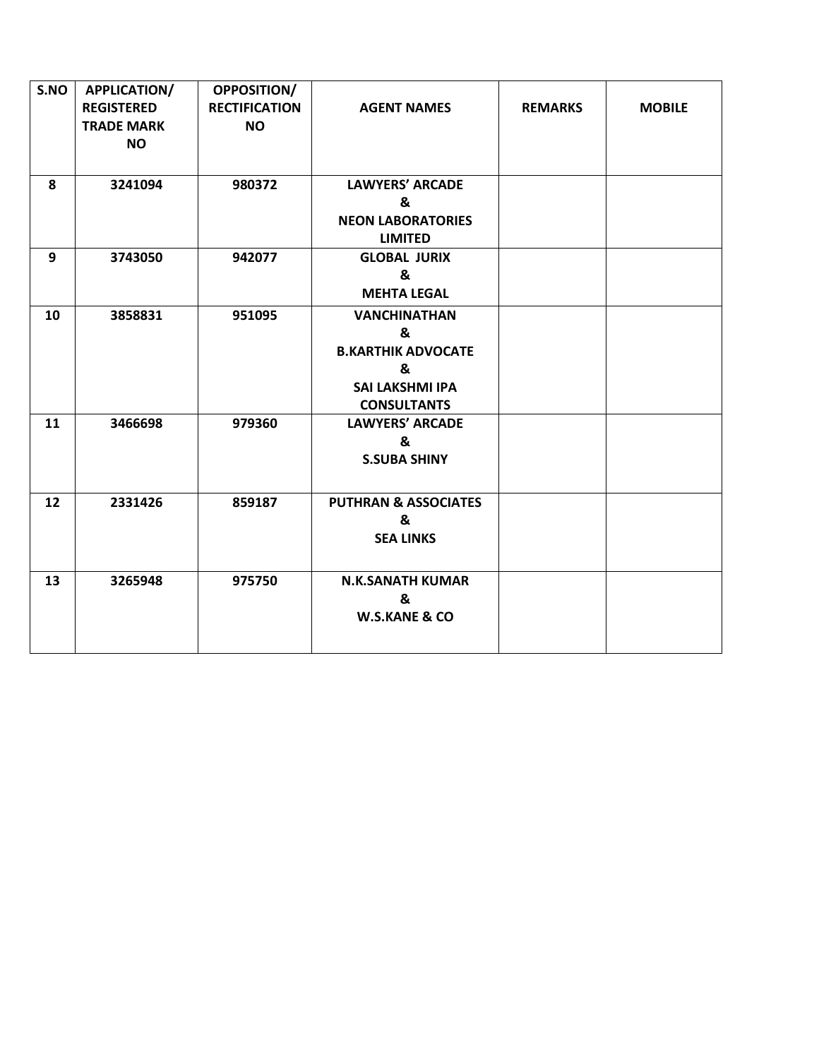| S.NO | <b>APPLICATION/</b><br><b>REGISTERED</b><br><b>TRADE MARK</b><br><b>NO</b> | OPPOSITION/<br><b>RECTIFICATION</b><br><b>NO</b> | <b>AGENT NAMES</b>                                                                                         | <b>REMARKS</b> | <b>MOBILE</b> |
|------|----------------------------------------------------------------------------|--------------------------------------------------|------------------------------------------------------------------------------------------------------------|----------------|---------------|
| 8    | 3241094                                                                    | 980372                                           | <b>LAWYERS' ARCADE</b><br>&<br><b>NEON LABORATORIES</b><br><b>LIMITED</b>                                  |                |               |
| 9    | 3743050                                                                    | 942077                                           | <b>GLOBAL JURIX</b><br>&<br><b>MEHTA LEGAL</b>                                                             |                |               |
| 10   | 3858831                                                                    | 951095                                           | <b>VANCHINATHAN</b><br>&<br><b>B.KARTHIK ADVOCATE</b><br>&<br><b>SAI LAKSHMI IPA</b><br><b>CONSULTANTS</b> |                |               |
| 11   | 3466698                                                                    | 979360                                           | <b>LAWYERS' ARCADE</b><br>&<br><b>S.SUBA SHINY</b>                                                         |                |               |
| 12   | 2331426                                                                    | 859187                                           | <b>PUTHRAN &amp; ASSOCIATES</b><br>&<br><b>SEA LINKS</b>                                                   |                |               |
| 13   | 3265948                                                                    | 975750                                           | <b>N.K.SANATH KUMAR</b><br>&<br><b>W.S.KANE &amp; CO</b>                                                   |                |               |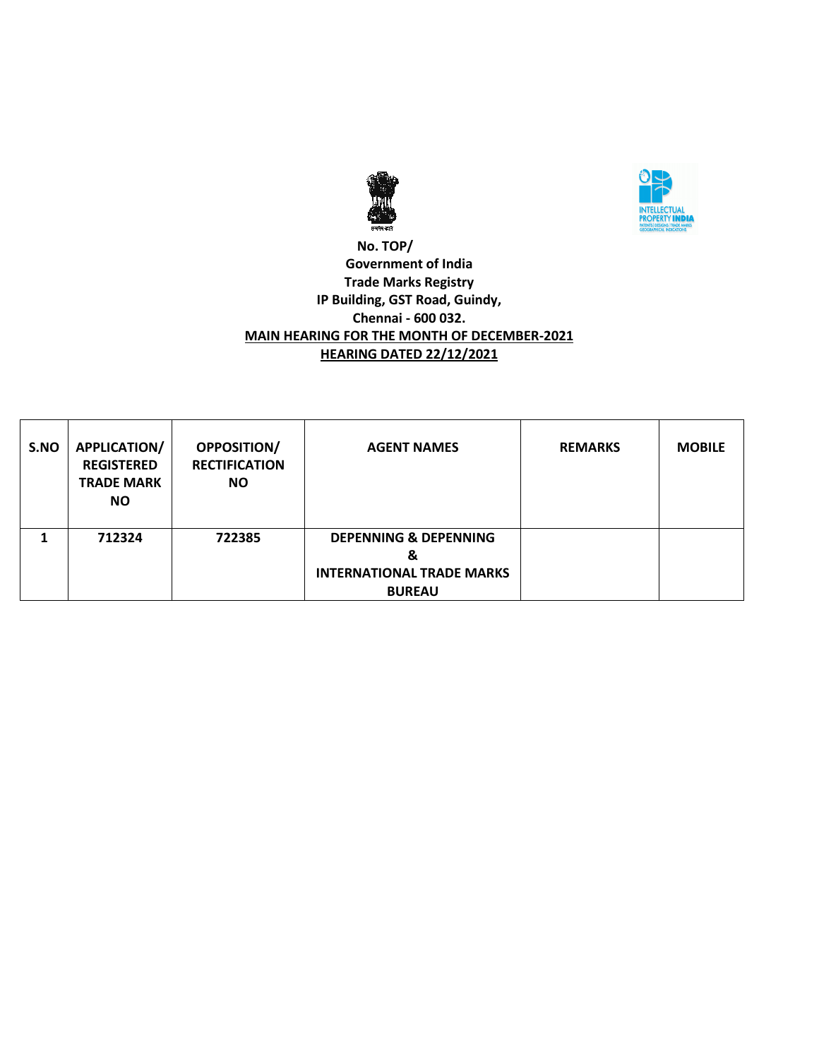



### **No. TOP/ Government of India Trade Marks Registry IP Building, GST Road, Guindy, Chennai - 600 032. MAIN HEARING FOR THE MONTH OF DECEMBER-2021 HEARING DATED 22/12/2021**

| S.NO | <b>APPLICATION/</b><br><b>REGISTERED</b><br><b>TRADE MARK</b><br><b>NO</b> | <b>OPPOSITION/</b><br><b>RECTIFICATION</b><br><b>NO</b> | <b>AGENT NAMES</b>                                                                         | <b>REMARKS</b> | <b>MOBILE</b> |
|------|----------------------------------------------------------------------------|---------------------------------------------------------|--------------------------------------------------------------------------------------------|----------------|---------------|
|      | 712324                                                                     | 722385                                                  | <b>DEPENNING &amp; DEPENNING</b><br>&<br><b>INTERNATIONAL TRADE MARKS</b><br><b>BUREAU</b> |                |               |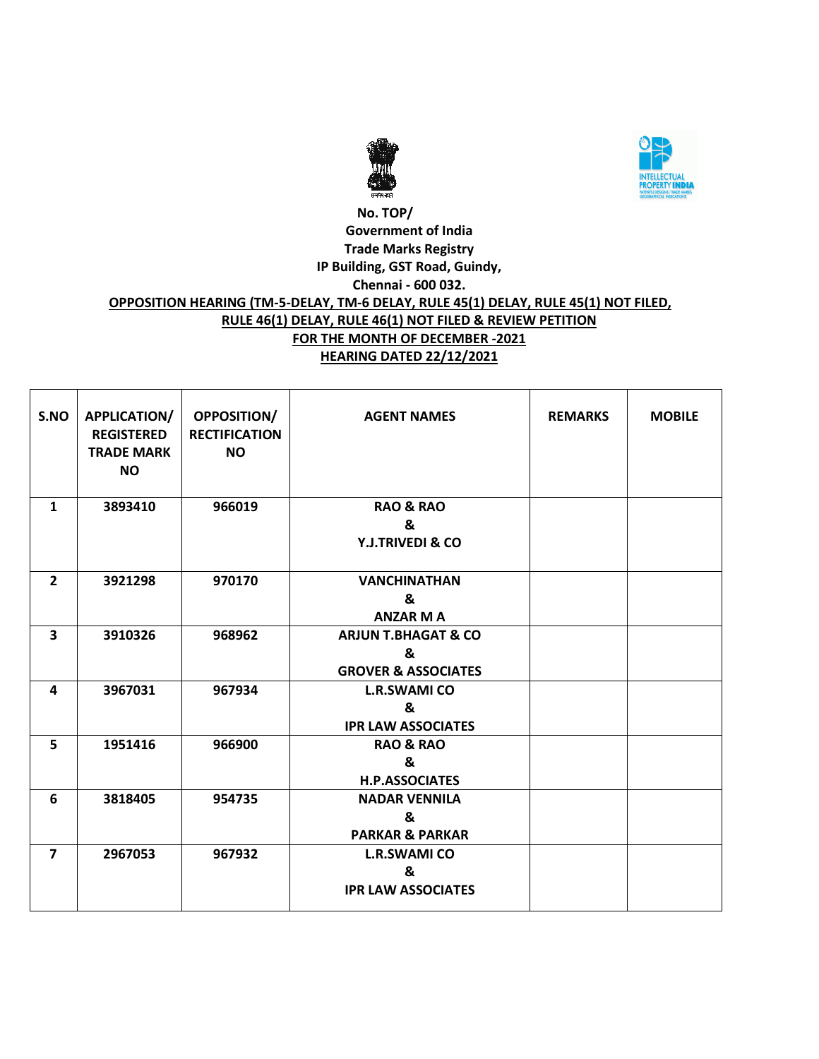



#### **No. TOP/ Government of India Trade Marks Registry IP Building, GST Road, Guindy, Chennai - 600 032. OPPOSITION HEARING (TM-5-DELAY, TM-6 DELAY, RULE 45(1) DELAY, RULE 45(1) NOT FILED, RULE 46(1) DELAY, RULE 46(1) NOT FILED & REVIEW PETITION FOR THE MONTH OF DECEMBER -2021 HEARING DATED 22/12/2021**

| S.NO           | APPLICATION/<br><b>REGISTERED</b><br><b>TRADE MARK</b><br><b>NO</b> | OPPOSITION/<br><b>RECTIFICATION</b><br><b>NO</b> | <b>AGENT NAMES</b>                                                    | <b>REMARKS</b> | <b>MOBILE</b> |
|----------------|---------------------------------------------------------------------|--------------------------------------------------|-----------------------------------------------------------------------|----------------|---------------|
| $\mathbf{1}$   | 3893410                                                             | 966019                                           | <b>RAO &amp; RAO</b><br>&<br><b>Y.J.TRIVEDI &amp; CO</b>              |                |               |
| $\overline{2}$ | 3921298                                                             | 970170                                           | <b>VANCHINATHAN</b><br>&<br><b>ANZAR MA</b>                           |                |               |
| 3              | 3910326                                                             | 968962                                           | <b>ARJUN T.BHAGAT &amp; CO</b><br>&<br><b>GROVER &amp; ASSOCIATES</b> |                |               |
| 4              | 3967031                                                             | 967934                                           | <b>L.R.SWAMI CO</b><br>&<br><b>IPR LAW ASSOCIATES</b>                 |                |               |
| 5              | 1951416                                                             | 966900                                           | <b>RAO &amp; RAO</b><br>&<br><b>H.P.ASSOCIATES</b>                    |                |               |
| 6              | 3818405                                                             | 954735                                           | <b>NADAR VENNILA</b><br>&<br><b>PARKAR &amp; PARKAR</b>               |                |               |
| $\overline{7}$ | 2967053                                                             | 967932                                           | <b>L.R.SWAMI CO</b><br>&<br><b>IPR LAW ASSOCIATES</b>                 |                |               |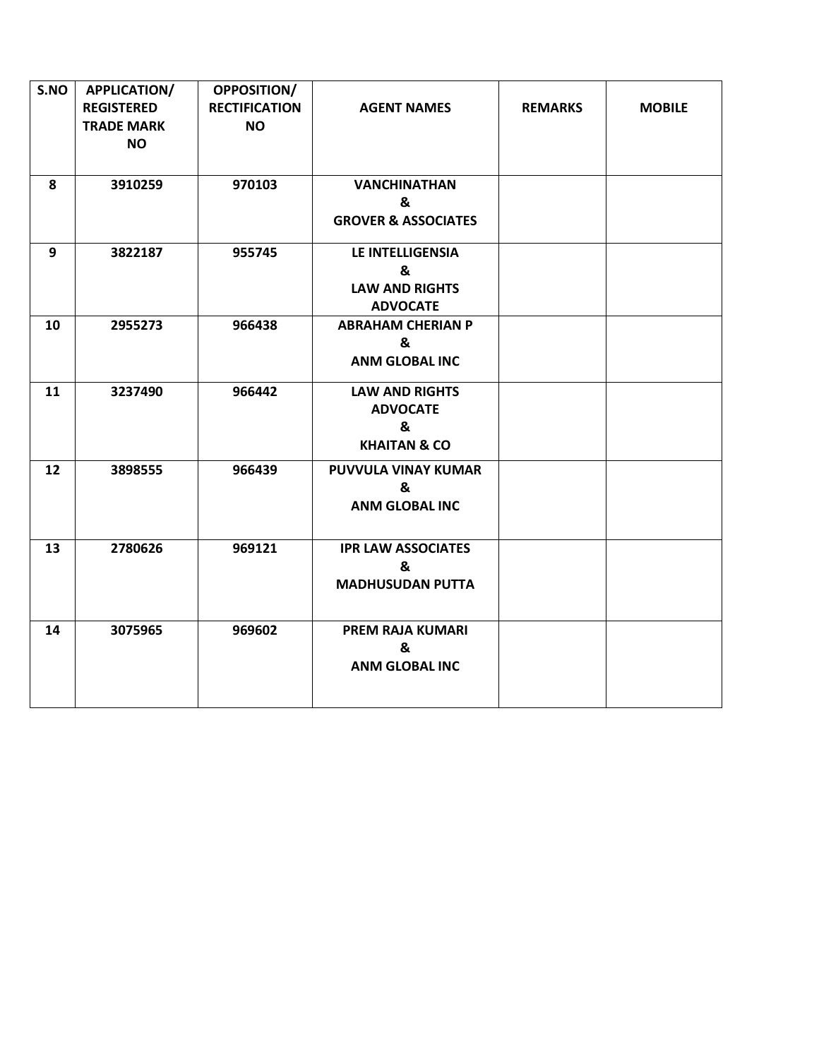| S.NO | APPLICATION/<br><b>REGISTERED</b><br><b>TRADE MARK</b><br><b>NO</b> | <b>OPPOSITION/</b><br><b>RECTIFICATION</b><br><b>NO</b> | <b>AGENT NAMES</b>                                                       | <b>REMARKS</b> | <b>MOBILE</b> |
|------|---------------------------------------------------------------------|---------------------------------------------------------|--------------------------------------------------------------------------|----------------|---------------|
| 8    | 3910259                                                             | 970103                                                  | <b>VANCHINATHAN</b><br>&<br><b>GROVER &amp; ASSOCIATES</b>               |                |               |
| 9    | 3822187                                                             | 955745                                                  | LE INTELLIGENSIA<br>&<br><b>LAW AND RIGHTS</b><br><b>ADVOCATE</b>        |                |               |
| 10   | 2955273                                                             | 966438                                                  | <b>ABRAHAM CHERIAN P</b><br>&<br><b>ANM GLOBAL INC</b>                   |                |               |
| 11   | 3237490                                                             | 966442                                                  | <b>LAW AND RIGHTS</b><br><b>ADVOCATE</b><br>&<br><b>KHAITAN &amp; CO</b> |                |               |
| 12   | 3898555                                                             | 966439                                                  | PUVVULA VINAY KUMAR<br>&<br><b>ANM GLOBAL INC</b>                        |                |               |
| 13   | 2780626                                                             | 969121                                                  | <b>IPR LAW ASSOCIATES</b><br>&<br><b>MADHUSUDAN PUTTA</b>                |                |               |
| 14   | 3075965                                                             | 969602                                                  | <b>PREM RAJA KUMARI</b><br>&<br><b>ANM GLOBAL INC</b>                    |                |               |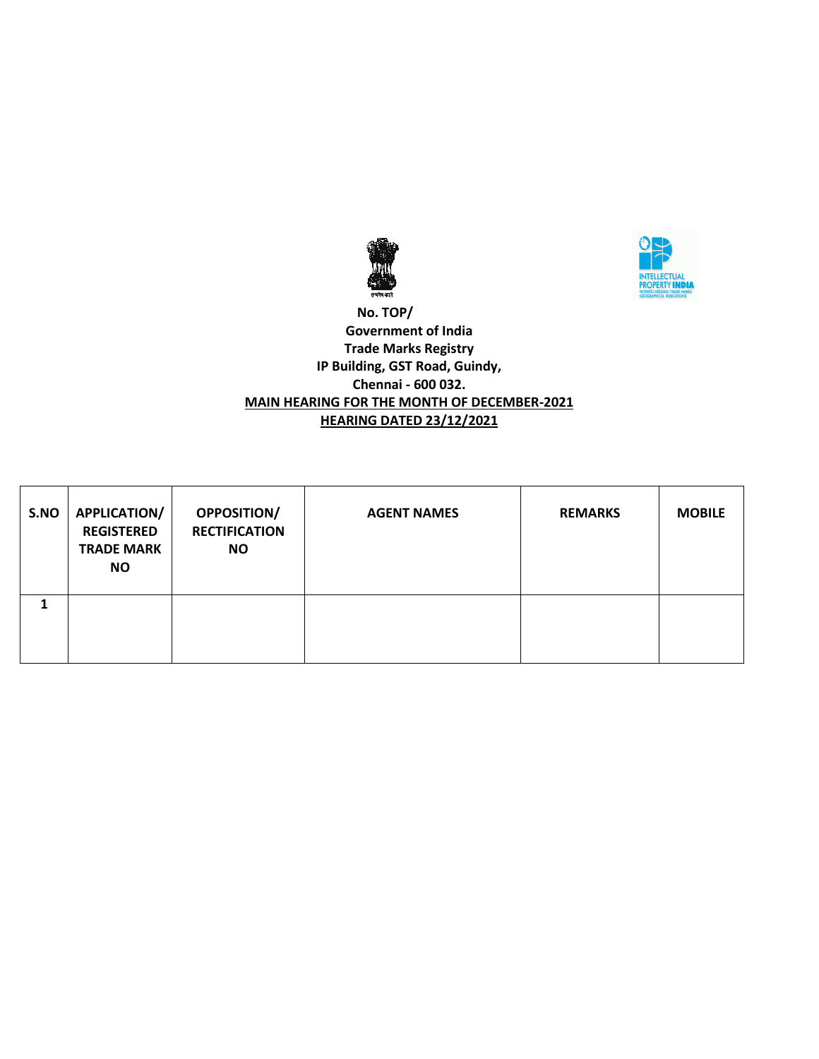



### **No. TOP/ Government of India Trade Marks Registry IP Building, GST Road, Guindy, Chennai - 600 032. MAIN HEARING FOR THE MONTH OF DECEMBER-2021 HEARING DATED 23/12/2021**

| S.NO | APPLICATION/<br><b>REGISTERED</b><br><b>TRADE MARK</b><br>NO. | <b>OPPOSITION/</b><br><b>RECTIFICATION</b><br><b>NO</b> | <b>AGENT NAMES</b> | <b>REMARKS</b> | <b>MOBILE</b> |
|------|---------------------------------------------------------------|---------------------------------------------------------|--------------------|----------------|---------------|
|      |                                                               |                                                         |                    |                |               |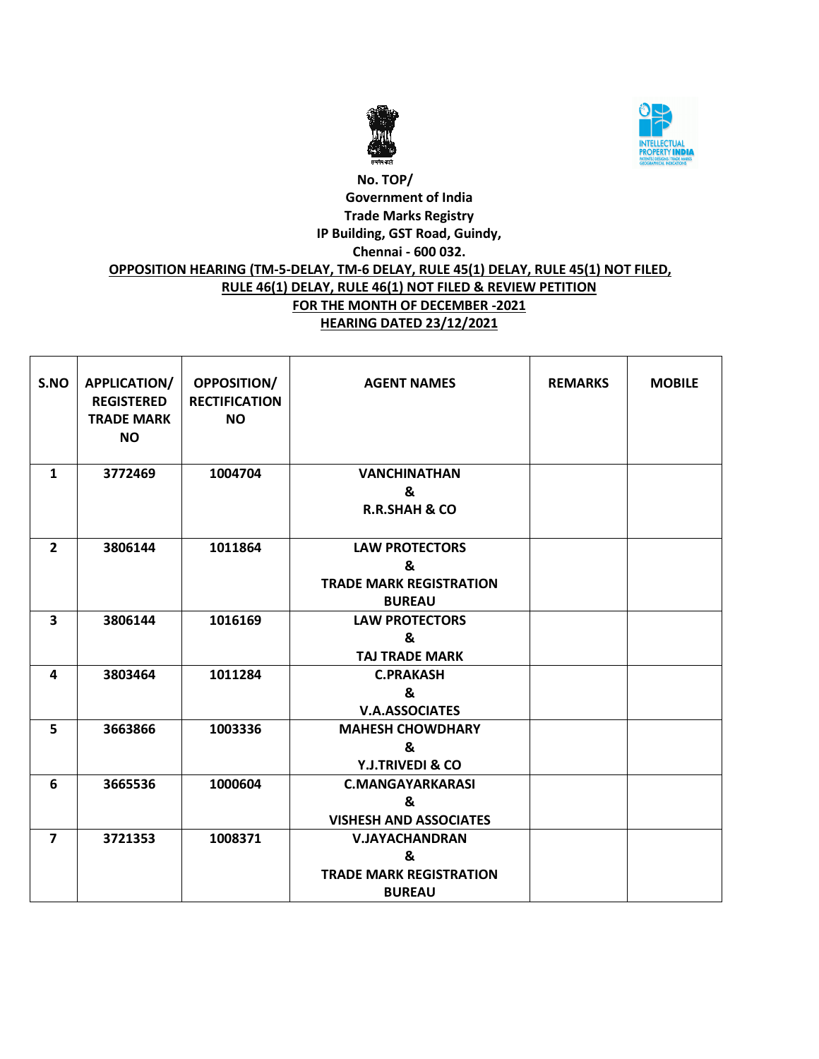



# **No. TOP/ Government of India Trade Marks Registry IP Building, GST Road, Guindy, Chennai - 600 032. OPPOSITION HEARING (TM-5-DELAY, TM-6 DELAY, RULE 45(1) DELAY, RULE 45(1) NOT FILED, RULE 46(1) DELAY, RULE 46(1) NOT FILED & REVIEW PETITION FOR THE MONTH OF DECEMBER -2021 HEARING DATED 23/12/2021**

| S.NO                    | <b>APPLICATION/</b><br><b>REGISTERED</b><br><b>TRADE MARK</b><br><b>NO</b> | <b>OPPOSITION/</b><br><b>RECTIFICATION</b><br><b>NO</b> | <b>AGENT NAMES</b>             | <b>REMARKS</b> | <b>MOBILE</b> |
|-------------------------|----------------------------------------------------------------------------|---------------------------------------------------------|--------------------------------|----------------|---------------|
| $\mathbf{1}$            | 3772469                                                                    | 1004704                                                 | <b>VANCHINATHAN</b>            |                |               |
|                         |                                                                            |                                                         | &                              |                |               |
|                         |                                                                            |                                                         | <b>R.R.SHAH &amp; CO</b>       |                |               |
| $\overline{2}$          | 3806144                                                                    | 1011864                                                 | <b>LAW PROTECTORS</b>          |                |               |
|                         |                                                                            |                                                         | &                              |                |               |
|                         |                                                                            |                                                         | <b>TRADE MARK REGISTRATION</b> |                |               |
|                         |                                                                            |                                                         | <b>BUREAU</b>                  |                |               |
| $\overline{\mathbf{3}}$ | 3806144                                                                    | 1016169                                                 | <b>LAW PROTECTORS</b>          |                |               |
|                         |                                                                            |                                                         | &                              |                |               |
|                         |                                                                            |                                                         | <b>TAJ TRADE MARK</b>          |                |               |
| 4                       | 3803464                                                                    | 1011284                                                 | <b>C.PRAKASH</b>               |                |               |
|                         |                                                                            |                                                         | &                              |                |               |
|                         |                                                                            |                                                         | <b>V.A.ASSOCIATES</b>          |                |               |
| 5                       | 3663866                                                                    | 1003336                                                 | <b>MAHESH CHOWDHARY</b>        |                |               |
|                         |                                                                            |                                                         | &                              |                |               |
|                         |                                                                            |                                                         | <b>Y.J.TRIVEDI &amp; CO</b>    |                |               |
| 6                       | 3665536                                                                    | 1000604                                                 | <b>C.MANGAYARKARASI</b>        |                |               |
|                         |                                                                            |                                                         | &                              |                |               |
|                         |                                                                            |                                                         | <b>VISHESH AND ASSOCIATES</b>  |                |               |
| $\overline{\mathbf{z}}$ | 3721353                                                                    | 1008371                                                 | <b>V.JAYACHANDRAN</b>          |                |               |
|                         |                                                                            |                                                         | &                              |                |               |
|                         |                                                                            |                                                         | <b>TRADE MARK REGISTRATION</b> |                |               |
|                         |                                                                            |                                                         | <b>BUREAU</b>                  |                |               |